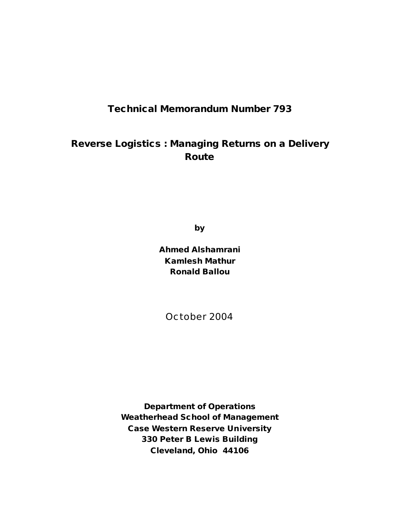# **Technical Memorandum Number 793**

# **Reverse Logistics : Managing Returns on a Delivery Route**

**by**

**Ahmed Alshamrani Kamlesh Mathur Ronald Ballou**

October 2004

**Department of Operations Weatherhead School of Management Case Western Reserve University 330 Peter B Lewis Building Cleveland, Ohio 44106**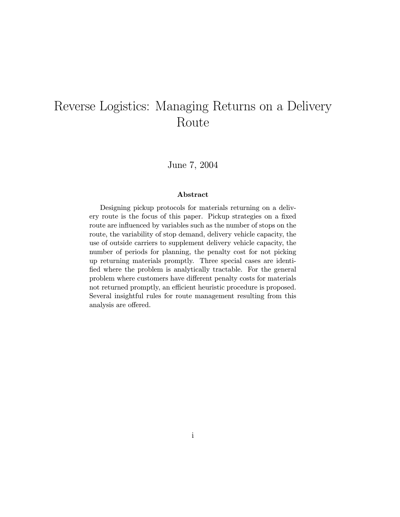# Reverse Logistics: Managing Returns on a Delivery Route

June 7, 2004

#### Abstract

Designing pickup protocols for materials returning on a delivery route is the focus of this paper. Pickup strategies on a fixed route are influenced by variables such as the number of stops on the route, the variability of stop demand, delivery vehicle capacity, the use of outside carriers to supplement delivery vehicle capacity, the number of periods for planning, the penalty cost for not picking up returning materials promptly. Three special cases are identified where the problem is analytically tractable. For the general problem where customers have different penalty costs for materials not returned promptly, an efficient heuristic procedure is proposed. Several insightful rules for route management resulting from this analysis are offered.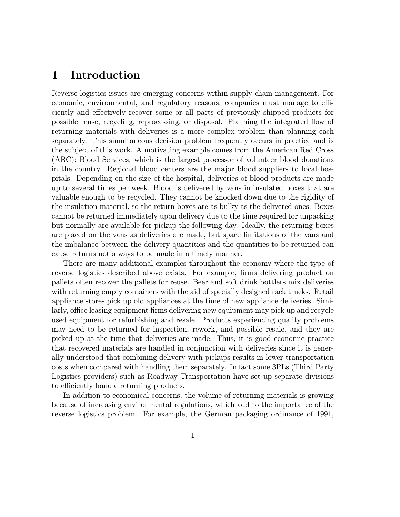# 1 Introduction

Reverse logistics issues are emerging concerns within supply chain management. For economic, environmental, and regulatory reasons, companies must manage to efficiently and effectively recover some or all parts of previously shipped products for possible reuse, recycling, reprocessing, or disposal. Planning the integrated flow of returning materials with deliveries is a more complex problem than planning each separately. This simultaneous decision problem frequently occurs in practice and is the subject of this work. A motivating example comes from the American Red Cross (ARC): Blood Services, which is the largest processor of volunteer blood donations in the country. Regional blood centers are the major blood suppliers to local hospitals. Depending on the size of the hospital, deliveries of blood products are made up to several times per week. Blood is delivered by vans in insulated boxes that are valuable enough to be recycled. They cannot be knocked down due to the rigidity of the insulation material, so the return boxes are as bulky as the delivered ones. Boxes cannot be returned immediately upon delivery due to the time required for unpacking but normally are available for pickup the following day. Ideally, the returning boxes are placed on the vans as deliveries are made, but space limitations of the vans and the imbalance between the delivery quantities and the quantities to be returned can cause returns not always to be made in a timely manner.

There are many additional examples throughout the economy where the type of reverse logistics described above exists. For example, firms delivering product on pallets often recover the pallets for reuse. Beer and soft drink bottlers mix deliveries with returning empty containers with the aid of specially designed rack trucks. Retail appliance stores pick up old appliances at the time of new appliance deliveries. Similarly, office leasing equipment firms delivering new equipment may pick up and recycle used equipment for refurbishing and resale. Products experiencing quality problems may need to be returned for inspection, rework, and possible resale, and they are picked up at the time that deliveries are made. Thus, it is good economic practice that recovered materials are handled in conjunction with deliveries since it is generally understood that combining delivery with pickups results in lower transportation costs when compared with handling them separately. In fact some 3PLs (Third Party Logistics providers) such as Roadway Transportation have set up separate divisions to efficiently handle returning products.

In addition to economical concerns, the volume of returning materials is growing because of increasing environmental regulations, which add to the importance of the reverse logistics problem. For example, the German packaging ordinance of 1991,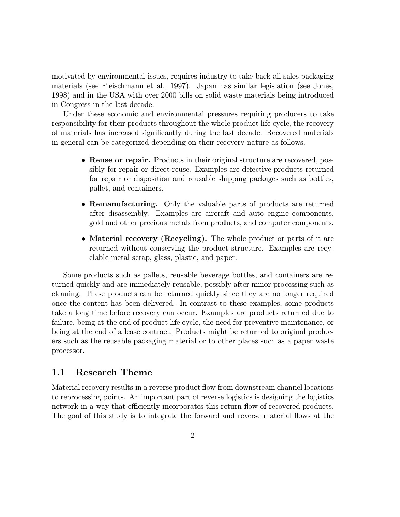motivated by environmental issues, requires industry to take back all sales packaging materials (see Fleischmann et al., 1997). Japan has similar legislation (see Jones, 1998) and in the USA with over 2000 bills on solid waste materials being introduced in Congress in the last decade.

Under these economic and environmental pressures requiring producers to take responsibility for their products throughout the whole product life cycle, the recovery of materials has increased significantly during the last decade. Recovered materials in general can be categorized depending on their recovery nature as follows.

- Reuse or repair. Products in their original structure are recovered, possibly for repair or direct reuse. Examples are defective products returned for repair or disposition and reusable shipping packages such as bottles, pallet, and containers.
- Remanufacturing. Only the valuable parts of products are returned after disassembly. Examples are aircraft and auto engine components, gold and other precious metals from products, and computer components.
- Material recovery (Recycling). The whole product or parts of it are returned without conserving the product structure. Examples are recyclable metal scrap, glass, plastic, and paper.

Some products such as pallets, reusable beverage bottles, and containers are returned quickly and are immediately reusable, possibly after minor processing such as cleaning. These products can be returned quickly since they are no longer required once the content has been delivered. In contrast to these examples, some products take a long time before recovery can occur. Examples are products returned due to failure, being at the end of product life cycle, the need for preventive maintenance, or being at the end of a lease contract. Products might be returned to original producers such as the reusable packaging material or to other places such as a paper waste processor.

### 1.1 Research Theme

Material recovery results in a reverse product flow from downstream channel locations to reprocessing points. An important part of reverse logistics is designing the logistics network in a way that efficiently incorporates this return flow of recovered products. The goal of this study is to integrate the forward and reverse material flows at the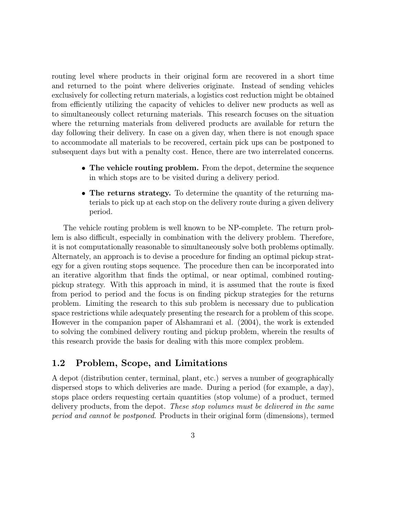routing level where products in their original form are recovered in a short time and returned to the point where deliveries originate. Instead of sending vehicles exclusively for collecting return materials, a logistics cost reduction might be obtained from efficiently utilizing the capacity of vehicles to deliver new products as well as to simultaneously collect returning materials. This research focuses on the situation where the returning materials from delivered products are available for return the day following their delivery. In case on a given day, when there is not enough space to accommodate all materials to be recovered, certain pick ups can be postponed to subsequent days but with a penalty cost. Hence, there are two interrelated concerns.

- The vehicle routing problem. From the depot, determine the sequence in which stops are to be visited during a delivery period.
- The returns strategy. To determine the quantity of the returning materials to pick up at each stop on the delivery route during a given delivery period.

The vehicle routing problem is well known to be NP-complete. The return problem is also difficult, especially in combination with the delivery problem. Therefore, it is not computationally reasonable to simultaneously solve both problems optimally. Alternately, an approach is to devise a procedure for finding an optimal pickup strategy for a given routing stops sequence. The procedure then can be incorporated into an iterative algorithm that finds the optimal, or near optimal, combined routingpickup strategy. With this approach in mind, it is assumed that the route is fixed from period to period and the focus is on finding pickup strategies for the returns problem. Limiting the research to this sub problem is necessary due to publication space restrictions while adequately presenting the research for a problem of this scope. However in the companion paper of Alshamrani et al. (2004), the work is extended to solving the combined delivery routing and pickup problem, wherein the results of this research provide the basis for dealing with this more complex problem.

### 1.2 Problem, Scope, and Limitations

A depot (distribution center, terminal, plant, etc.) serves a number of geographically dispersed stops to which deliveries are made. During a period (for example, a day), stops place orders requesting certain quantities (stop volume) of a product, termed delivery products, from the depot. These stop volumes must be delivered in the same period and cannot be postponed. Products in their original form (dimensions), termed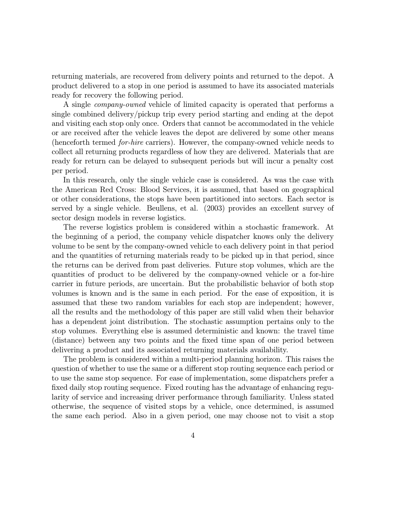returning materials, are recovered from delivery points and returned to the depot. A product delivered to a stop in one period is assumed to have its associated materials ready for recovery the following period.

A single company-owned vehicle of limited capacity is operated that performs a single combined delivery/pickup trip every period starting and ending at the depot and visiting each stop only once. Orders that cannot be accommodated in the vehicle or are received after the vehicle leaves the depot are delivered by some other means (henceforth termed for-hire carriers). However, the company-owned vehicle needs to collect all returning products regardless of how they are delivered. Materials that are ready for return can be delayed to subsequent periods but will incur a penalty cost per period.

In this research, only the single vehicle case is considered. As was the case with the American Red Cross: Blood Services, it is assumed, that based on geographical or other considerations, the stops have been partitioned into sectors. Each sector is served by a single vehicle. Beullens, et al. (2003) provides an excellent survey of sector design models in reverse logistics.

The reverse logistics problem is considered within a stochastic framework. At the beginning of a period, the company vehicle dispatcher knows only the delivery volume to be sent by the company-owned vehicle to each delivery point in that period and the quantities of returning materials ready to be picked up in that period, since the returns can be derived from past deliveries. Future stop volumes, which are the quantities of product to be delivered by the company-owned vehicle or a for-hire carrier in future periods, are uncertain. But the probabilistic behavior of both stop volumes is known and is the same in each period. For the ease of exposition, it is assumed that these two random variables for each stop are independent; however, all the results and the methodology of this paper are still valid when their behavior has a dependent joint distribution. The stochastic assumption pertains only to the stop volumes. Everything else is assumed deterministic and known: the travel time (distance) between any two points and the fixed time span of one period between delivering a product and its associated returning materials availability.

The problem is considered within a multi-period planning horizon. This raises the question of whether to use the same or a different stop routing sequence each period or to use the same stop sequence. For ease of implementation, some dispatchers prefer a fixed daily stop routing sequence. Fixed routing has the advantage of enhancing regularity of service and increasing driver performance through familiarity. Unless stated otherwise, the sequence of visited stops by a vehicle, once determined, is assumed the same each period. Also in a given period, one may choose not to visit a stop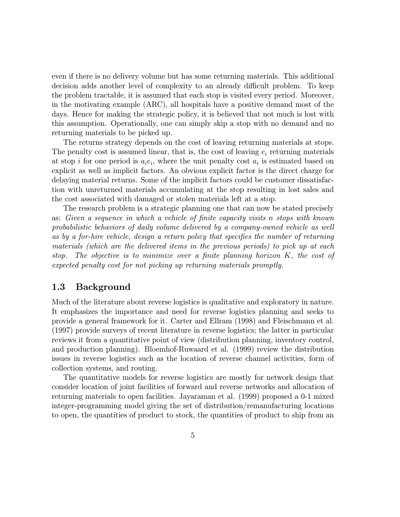even if there is no delivery volume but has some returning materials. This additional decision adds another level of complexity to an already difficult problem. To keep the problem tractable, it is assumed that each stop is visited every period. Moreover, in the motivating example (ARC), all hospitals have a positive demand most of the days. Hence for making the strategic policy, it is believed that not much is lost with this assumption. Operationally, one can simply skip a stop with no demand and no returning materials to be picked up.

The returns strategy depends on the cost of leaving returning materials at stops. The penalty cost is assumed linear, that is, the cost of leaving  $e_i$  returning materials at stop i for one period is  $a_i e_i$ , where the unit penalty cost  $a_i$  is estimated based on explicit as well as implicit factors. An obvious explicit factor is the direct charge for delaying material returns. Some of the implicit factors could be customer dissatisfaction with unreturned materials accumulating at the stop resulting in lost sales and the cost associated with damaged or stolen materials left at a stop.

The research problem is a strategic planning one that can now be stated precisely as: Given a sequence in which a vehicle of finite capacity visits n stops with known probabilistic behaviors of daily volume delivered by a company-owned vehicle as well as by a for-hire vehicle, design a return policy that specifies the number of returning materials (which are the delivered items in the previous periods) to pick up at each stop. The objective is to minimize over a finite planning horizon K, the cost of expected penalty cost for not picking up returning materials promptly.

### 1.3 Background

Much of the literature about reverse logistics is qualitative and exploratory in nature. It emphasizes the importance and need for reverse logistics planning and seeks to provide a general framework for it. Carter and Ellram (1998) and Fleischmann et al. (1997) provide surveys of recent literature in reverse logistics; the latter in particular reviews it from a quantitative point of view (distribution planning, inventory control, and production planning). Bloemhof-Ruwaard et al. (1999) review the distribution issues in reverse logistics such as the location of reverse channel activities, form of collection systems, and routing.

The quantitative models for reverse logistics are mostly for network design that consider location of joint facilities of forward and reverse networks and allocation of returning materials to open facilities. Jayaraman et al. (1999) proposed a 0-1 mixed integer-programming model giving the set of distribution/remanufacturing locations to open, the quantities of product to stock, the quantities of product to ship from an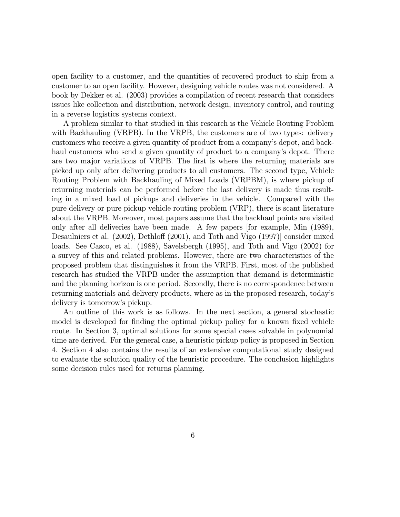open facility to a customer, and the quantities of recovered product to ship from a customer to an open facility. However, designing vehicle routes was not considered. A book by Dekker et al. (2003) provides a compilation of recent research that considers issues like collection and distribution, network design, inventory control, and routing in a reverse logistics systems context.

A problem similar to that studied in this research is the Vehicle Routing Problem with Backhauling (VRPB). In the VRPB, the customers are of two types: delivery customers who receive a given quantity of product from a company's depot, and backhaul customers who send a given quantity of product to a company's depot. There are two major variations of VRPB. The first is where the returning materials are picked up only after delivering products to all customers. The second type, Vehicle Routing Problem with Backhauling of Mixed Loads (VRPBM), is where pickup of returning materials can be performed before the last delivery is made thus resulting in a mixed load of pickups and deliveries in the vehicle. Compared with the pure delivery or pure pickup vehicle routing problem (VRP), there is scant literature about the VRPB. Moreover, most papers assume that the backhaul points are visited only after all deliveries have been made. A few papers [for example, Min (1989), Desaulniers et al. (2002), Dethloff (2001), and Toth and Vigo (1997)] consider mixed loads. See Casco, et al. (1988), Savelsbergh (1995), and Toth and Vigo (2002) for a survey of this and related problems. However, there are two characteristics of the proposed problem that distinguishes it from the VRPB. First, most of the published research has studied the VRPB under the assumption that demand is deterministic and the planning horizon is one period. Secondly, there is no correspondence between returning materials and delivery products, where as in the proposed research, today's delivery is tomorrow's pickup.

An outline of this work is as follows. In the next section, a general stochastic model is developed for finding the optimal pickup policy for a known fixed vehicle route. In Section 3, optimal solutions for some special cases solvable in polynomial time are derived. For the general case, a heuristic pickup policy is proposed in Section 4. Section 4 also contains the results of an extensive computational study designed to evaluate the solution quality of the heuristic procedure. The conclusion highlights some decision rules used for returns planning.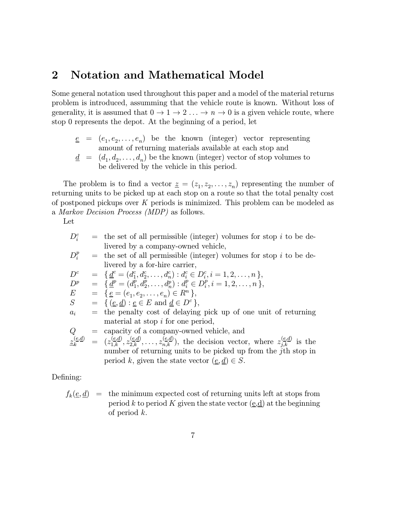# 2 Notation and Mathematical Model

Some general notation used throughout this paper and a model of the material returns problem is introduced, assumming that the vehicle route is known. Without loss of generality, it is assumed that  $0 \to 1 \to 2 \ldots \to n \to 0$  is a given vehicle route, where stop 0 represents the depot. At the beginning of a period, let

 $e = (e_1, e_2, \ldots, e_n)$  be the known (integer) vector representing amount of returning materials available at each stop and  $d = (d_1, d_2, \ldots, d_n)$  be the known (integer) vector of stop volumes to be delivered by the vehicle in this period.

The problem is to find a vector  $\underline{z} = (z_1, z_2, \ldots, z_n)$  representing the number of returning units to be picked up at each stop on a route so that the total penalty cost of postponed pickups over  $K$  periods is minimized. This problem can be modeled as a Markov Decision Process (MDP) as follows.

Let

| $D_i^c$ | $=$ the set of all permissible (integer) volumes for stop i to be de-                                                             |
|---------|-----------------------------------------------------------------------------------------------------------------------------------|
|         | livered by a company-owned vehicle,                                                                                               |
| $D_i^p$ | $=$ the set of all permissible (integer) volumes for stop i to be de-                                                             |
|         | livered by a for-hire carrier,                                                                                                    |
| $D^c$   | $= \{ \underline{d}^c = (d_1^c, d_2^c, \ldots, d_n^c) : d_i^c \in D_i^c, i = 1, 2, \ldots, n \},\$                                |
| $D^p$   | $=\{\underline{d}^p=(d_1^p,d_2^p,\ldots,d_n^p):d_i^p\in D_i^p, i=1,2,\ldots,n\},\$                                                |
| $\,E$   | $= \{e = (e_1, e_2, \ldots, e_n) \in R^n\},\$                                                                                     |
| S       | $= \{(\underline{e}, \underline{d}) : \underline{e} \in E \text{ and } \underline{d} \in D^c \},$                                 |
| $a_i$   | = the penalty cost of delaying pick up of one unit of returning                                                                   |
|         | material at stop $i$ for one period,                                                                                              |
| Q       | = capacity of a company-owned vehicle, and                                                                                        |
|         | $z_k^{(e,d)} = (z_{1,k}^{(e,d)}, z_{2,k}^{(e,d)}, \ldots, z_{n,k}^{(e,d)})$ , the decision vector, where $z_{j,k}^{(e,d)}$ is the |
|         | number of returning units to be picked up from the j <sup>th</sup> stop in                                                        |
|         | period k, given the state vector $(\underline{e}, \underline{d}) \in S$ .                                                         |
|         |                                                                                                                                   |

Defining:

 $f_k(\underline{e}, \underline{d}) =$  the minimum expected cost of returning units left at stops from period k to period K given the state vector  $(\underline{e}, \underline{d})$  at the beginning of period k.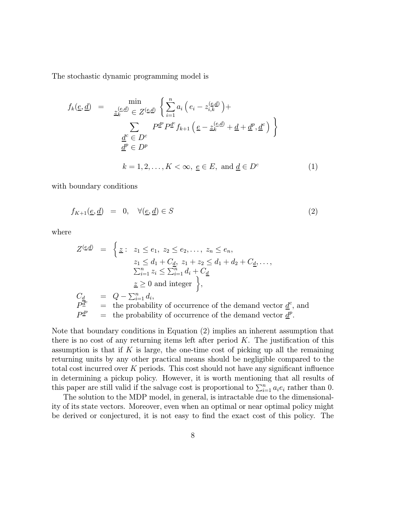The stochastic dynamic programming model is

$$
f_k(\underline{e}, \underline{d}) = \min_{\underline{z}_k^{(\underline{e}, \underline{d})} \in Z^{(\underline{e}, \underline{d})}} \left\{ \sum_{i=1}^n a_i \left( e_i - z_{i,k}^{(\underline{e}, \underline{d})} \right) + \sum_{\underline{d}^c \in D^c} P^{\underline{d}^p} P^{\underline{d}^c} f_{k+1} \left( \underline{e} - z_k^{(\underline{e}, \underline{d})} + \underline{d} + \underline{d}^p, \underline{d}^c \right) \right\}
$$

$$
\underline{d}^c \in D^c
$$

$$
\underline{d}^p \in D^p
$$

$$
k = 1, 2, \dots, K < \infty, \underline{e} \in E, \text{ and } \underline{d} \in D^c \tag{1}
$$

with boundary conditions

$$
f_{K+1}(\underline{e}, \underline{d}) = 0, \quad \forall (\underline{e}, \underline{d}) \in S \tag{2}
$$

where

$$
Z^{(\underline{e}, \underline{d})} = \begin{cases} \underline{z}: & z_1 \leq e_1, \ z_2 \leq e_2, \dots, \ z_n \leq e_n, \\ & z_1 \leq d_1 + C_{\underline{d}}, \ z_1 + z_2 \leq d_1 + d_2 + C_{\underline{d}}, \dots, \\ & \sum_{i=1}^n z_i \leq \sum_{i=1}^n d_i + C_{\underline{d}} \\ & \underline{z} \geq 0 \text{ and integer} \end{cases}
$$
\n
$$
C_{\underline{d}} = Q - \sum_{i=1}^n d_i,
$$
\n
$$
P^{\underline{d}^c} = \text{the probability of occurrence of the demand vector } \underline{d}^c, \text{ and}
$$
\n
$$
P^{\underline{d}^p} = \text{the probability of occurrence of the demand vector } \underline{d}^p.
$$

Note that boundary conditions in Equation (2) implies an inherent assumption that there is no cost of any returning items left after period  $K$ . The justification of this assumption is that if K is large, the one-time cost of picking up all the remaining returning units by any other practical means should be negligible compared to the total cost incurred over  $K$  periods. This cost should not have any significant influence in determining a pickup policy. However, it is worth mentioning that all results of this paper are still valid if the salvage cost is proportional to  $\sum_{i=1}^{n} a_i e_i$  rather than 0.

The solution to the MDP model, in general, is intractable due to the dimensionality of its state vectors. Moreover, even when an optimal or near optimal policy might be derived or conjectured, it is not easy to find the exact cost of this policy. The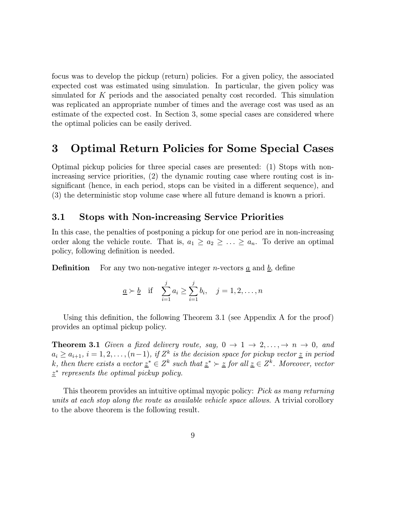focus was to develop the pickup (return) policies. For a given policy, the associated expected cost was estimated using simulation. In particular, the given policy was simulated for  $K$  periods and the associated penalty cost recorded. This simulation was replicated an appropriate number of times and the average cost was used as an estimate of the expected cost. In Section 3, some special cases are considered where the optimal policies can be easily derived.

# 3 Optimal Return Policies for Some Special Cases

Optimal pickup policies for three special cases are presented: (1) Stops with nonincreasing service priorities, (2) the dynamic routing case where routing cost is insignificant (hence, in each period, stops can be visited in a different sequence), and (3) the deterministic stop volume case where all future demand is known a priori.

### 3.1 Stops with Non-increasing Service Priorities

In this case, the penalties of postponing a pickup for one period are in non-increasing order along the vehicle route. That is,  $a_1 \ge a_2 \ge \ldots \ge a_n$ . To derive an optimal policy, following definition is needed.

**Definition** For any two non-negative integer *n*-vectors  $\underline{a}$  and  $\underline{b}$ , define

$$
\underline{a} \succ \underline{b} \quad \text{if} \quad \sum_{i=1}^{j} a_i \ge \sum_{i=1}^{j} b_i, \quad j = 1, 2, \dots, n
$$

Using this definition, the following Theorem 3.1 (see Appendix A for the proof) provides an optimal pickup policy.

**Theorem 3.1** Given a fixed delivery route, say,  $0 \rightarrow 1 \rightarrow 2, ..., \rightarrow n \rightarrow 0$ , and  $a_i \ge a_{i+1}, i = 1, 2, \ldots, (n-1),$  if  $Z^k$  is the decision space for pickup vector  $\underline{z}$  in period k, then there exists a vector  $\underline{z}^* \in \mathbb{Z}^k$  such that  $\underline{z}^* \succ \underline{z}$  for all  $\underline{z} \in \mathbb{Z}^k$ . Moreover, vector  $z^*$  represents the optimal pickup policy.

This theorem provides an intuitive optimal myopic policy: *Pick as many returning* units at each stop along the route as available vehicle space allows. A trivial corollory to the above theorem is the following result.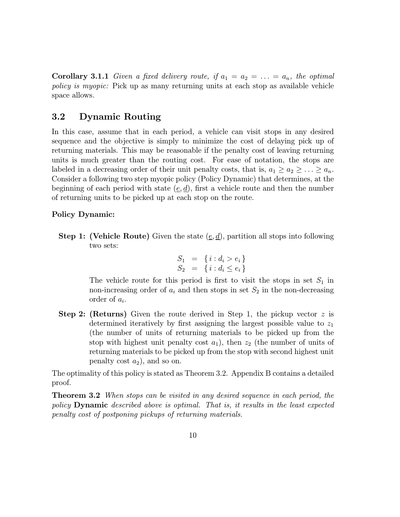**Corollary 3.1.1** Given a fixed delivery route, if  $a_1 = a_2 = \ldots = a_n$ , the optimal policy is myopic: Pick up as many returning units at each stop as available vehicle space allows.

### 3.2 Dynamic Routing

In this case, assume that in each period, a vehicle can visit stops in any desired sequence and the objective is simply to minimize the cost of delaying pick up of returning materials. This may be reasonable if the penalty cost of leaving returning units is much greater than the routing cost. For ease of notation, the stops are labeled in a decreasing order of their unit penalty costs, that is,  $a_1 \ge a_2 \ge \ldots \ge a_n$ . Consider a following two step myopic policy (Policy Dynamic) that determines, at the beginning of each period with state  $(\underline{e}, \underline{d})$ , first a vehicle route and then the number of returning units to be picked up at each stop on the route.

#### Policy Dynamic:

**Step 1:** (Vehicle Route) Given the state  $(\underline{e}, \underline{d})$ , partition all stops into following two sets:

$$
S_1 = \{i : d_i > e_i\} S_2 = \{i : d_i \le e_i\}
$$

The vehicle route for this period is first to visit the stops in set  $S_1$  in non-increasing order of  $a_i$  and then stops in set  $S_2$  in the non-decreasing order of  $a_i$ .

**Step 2: (Returns)** Given the route derived in Step 1, the pickup vector  $z$  is determined iteratively by first assigning the largest possible value to  $z_1$ (the number of units of returning materials to be picked up from the stop with highest unit penalty cost  $a_1$ ), then  $z_2$  (the number of units of returning materials to be picked up from the stop with second highest unit penalty cost  $a_2$ ), and so on.

The optimality of this policy is stated as Theorem 3.2. Appendix B contains a detailed proof.

**Theorem 3.2** When stops can be visited in any desired sequence in each period, the policy Dynamic described above is optimal. That is, it results in the least expected penalty cost of postponing pickups of returning materials.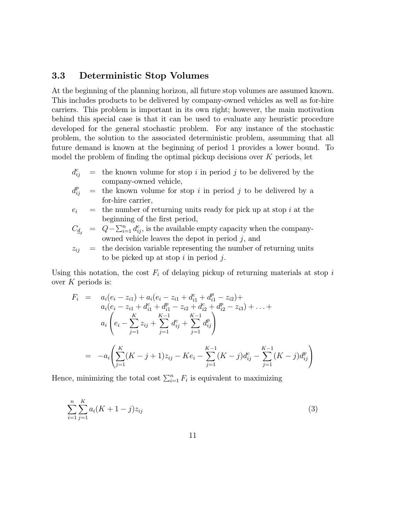### 3.3 Deterministic Stop Volumes

At the beginning of the planning horizon, all future stop volumes are assumed known. This includes products to be delivered by company-owned vehicles as well as for-hire carriers. This problem is important in its own right; however, the main motivation behind this special case is that it can be used to evaluate any heuristic procedure developed for the general stochastic problem. For any instance of the stochastic problem, the solution to the associated deterministic problem, assumming that all future demand is known at the beginning of period 1 provides a lower bound. To model the problem of finding the optimal pickup decisions over  $K$  periods, let

- $d_{ii}^c$  $\equiv$  the known volume for stop i in period j to be delivered by the company-owned vehicle,
- $d_{ii}^p$  $\equiv$  the known volume for stop i in period j to be delivered by a for-hire carrier,

$$
e_i
$$
 = the number of returning units ready for pick up at stop  $i$  at the beginning of the first period,

$$
C_{\underline{d}_j} = Q - \sum_{i=1}^n d_{ij}^c
$$
, is the available empty capacity when the company-  
owned vehicle leaves the depot in period j, and

$$
z_{ij} =
$$
 the decision variable representing the number of returning units to be picked up at stop *i* in period *j*.

Using this notation, the cost  $F_i$  of delaying pickup of returning materials at stop i over  $K$  periods is:

$$
F_i = a_i(e_i - z_{i1}) + a_i(e_i - z_{i1} + d_{i1}^c + d_{i1}^p - z_{i2}) +
$$
  
\n
$$
a_i(e_i - z_{i1} + d_{i1}^c + d_{i1}^p - z_{i2} + d_{i2}^c + d_{i2}^p - z_{i3}) + \dots +
$$
  
\n
$$
a_i\left(e_i - \sum_{j=1}^K z_{ij} + \sum_{j=1}^{K-1} d_{ij}^c + \sum_{j=1}^{K-1} d_{ij}^p\right)
$$
  
\n
$$
= -a_i\left(\sum_{j=1}^K (K-j+1)z_{ij} - Ke_i - \sum_{j=1}^{K-1} (K-j)d_{ij}^c - \sum_{j=1}^{K-1} (K-j)d_{ij}^p\right)
$$

Hence, minimizing the total cost  $\sum_{i=1}^{n} F_i$  is equivalent to maximizing

$$
\sum_{i=1}^{n} \sum_{j=1}^{K} a_i (K+1-j) z_{ij}
$$
 (3)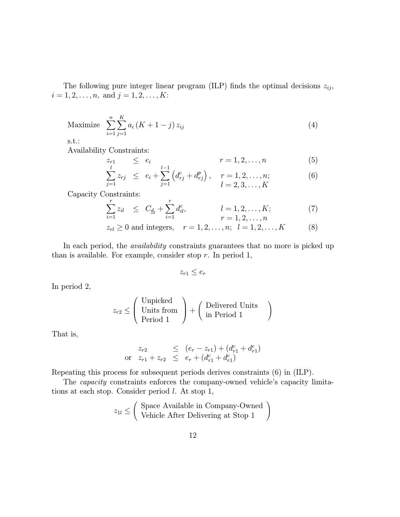The following pure integer linear program (ILP) finds the optimal decisions  $z_{ij}$ ,  $i = 1, 2, \ldots, n$ , and  $j = 1, 2, \ldots, K$ :

Maximize 
$$
\sum_{i=1}^{n} \sum_{j=1}^{K} a_i (K + 1 - j) z_{ij}
$$
 (4)

s.t.:

Availability Constraints:

$$
z_{r1} \le e_i \qquad \qquad r = 1, 2, \dots, n \tag{5}
$$

$$
\sum_{j=1}^{k} z_{rj} \le e_i + \sum_{j=1}^{k} \left( d_{rj}^c + d_{rj}^p \right), \quad r = 1, 2, \dots, n; \\
 l = 2, 3, \dots, K
$$
\n(6)

Capacity Constraints:

$$
\sum_{i=1}^{r} z_{il} \leq C_{\underline{d}_l} + \sum_{i=1}^{r} d_{il}^c, \qquad l = 1, 2, ..., K; \qquad (7)
$$
\n
$$
r = 1, 2, ..., n
$$

$$
z_{rl} \ge 0
$$
 and integers,  $r = 1, 2, ..., n$ ;  $l = 1, 2, ..., K$  (8)

In each period, the *availability* constraints guarantees that no more is picked up than is available. For example, consider stop  $r$ . In period 1,

$$
z_{r1} \leq e_r
$$

In period 2,

$$
z_{r2} \leq \left(\begin{array}{c} \text{Unpicked} \\ \text{Units from} \\ \text{Period 1} \end{array}\right) + \left(\begin{array}{c} \text{Delivered Units} \\ \text{in Period 1} \end{array}\right)
$$

That is,

$$
z_{r2} \le (e_r - z_{r1}) + (d_{r1}^c + d_{r1}^c)
$$
  
or  $z_{r1} + z_{r2} \le e_r + (d_{r1}^c + d_{r1}^c)$ 

Repeating this process for subsequent periods derives constraints (6) in (ILP).

The capacity constraints enforces the company-owned vehicle's capacity limitations at each stop. Consider period l. At stop 1,

$$
z_{1l} \leq \left( \begin{array}{c} \text{Space Available in Company-Owned} \\ \text{Vehicle After Delivering at Stop 1} \end{array} \right)
$$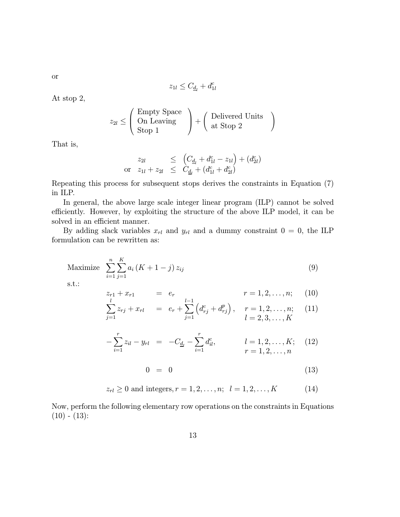$$
z_{1l} \leq C_{\underline{d}_l} + d_{1l}^c
$$

At stop 2,

$$
z_{2l} \leq \left(\begin{array}{c}\text{Empty Space} \\ \text{On Learning} \\ \text{Stop 1}\end{array}\right) + \left(\begin{array}{c}\text{Delivered Units} \\ \text{at Stop 2}\end{array}\right)
$$

That is,

$$
z_{2l} \leq (C_{\underline{d}_l} + d_{1l}^c - z_{1l}) + (d_{2l}^c)
$$
  
or  $z_{1l} + z_{2l} \leq C_{\underline{d}_l} + (d_{1l}^c + d_{2l}^c)$ 

Repeating this process for subsequent stops derives the constraints in Equation (7) in ILP.

In general, the above large scale integer linear program (ILP) cannot be solved efficiently. However, by exploiting the structure of the above ILP model, it can be solved in an efficient manner.

By adding slack variables  $x_{rl}$  and  $y_{rl}$  and a dummy constraint  $0 = 0$ , the ILP formulation can be rewritten as:

Maximize 
$$
\sum_{i=1}^{n} \sum_{j=1}^{K} a_i (K + 1 - j) z_{ij}
$$
 (9)

s.t.:

$$
z_{r1} + x_{r1} = e_r \t r = 1, 2, ..., n; \t (10)
$$
  

$$
\sum_{r=1}^{l} z_{r1} + x_{r2} = e_r \sum_{r=1}^{l-1} (d^c + d^p) \t r = 1, 2, ..., n; \t (11)
$$

$$
\sum_{j=1}^{N} z_{rj} + x_{rl} = e_r + \sum_{j=1}^{N} \left( d_{rj}^c + d_{rj}^p \right), \quad r = 1, 2, \dots, n; \quad (11)
$$
\n
$$
l = 2, 3, \dots, K
$$

$$
-\sum_{i=1}^{r} z_{il} - y_{rl} = -C_{\underline{d}_l} - \sum_{i=1}^{r} d_{il}^c, \qquad l = 1, 2, ..., K; \quad (12)
$$
  

$$
r = 1, 2, ..., n
$$

$$
0 = 0 \tag{13}
$$

$$
z_{rl} \ge 0
$$
 and integers,  $r = 1, 2, ..., n$ ;  $l = 1, 2, ..., K$  (14)

Now, perform the following elementary row operations on the constraints in Equations  $(10) - (13)$ :

or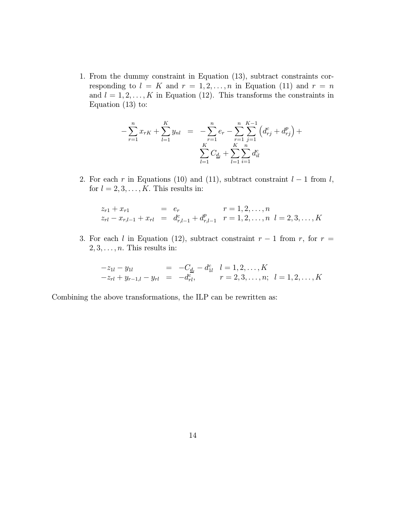1. From the dummy constraint in Equation (13), subtract constraints corresponding to  $l = K$  and  $r = 1, 2, ..., n$  in Equation (11) and  $r = n$ and  $l = 1, 2, \ldots, K$  in Equation (12). This transforms the constraints in Equation (13) to:

$$
-\sum_{r=1}^{n} x_{rK} + \sum_{l=1}^{K} y_{nl} = -\sum_{r=1}^{n} e_r - \sum_{r=1}^{n} \sum_{j=1}^{K-1} \left( d_{rj}^{c} + d_{rj}^{p} \right) + \sum_{l=1}^{K} C_{d_l} + \sum_{l=1}^{K} \sum_{i=1}^{n} d_{il}^{c}
$$

2. For each r in Equations (10) and (11), subtract constraint  $l-1$  from  $l$ , for  $l = 2, 3, \ldots, K$ . This results in:

$$
z_{r1} + x_{r1} = e_r \qquad r = 1, 2, ..., n
$$
  
\n
$$
z_{rl} - x_{r,l-1} + x_{rl} = d_{r,l-1}^c + d_{r,l-1}^p \qquad r = 1, 2, ..., n \quad l = 2, 3, ..., K
$$

3. For each l in Equation (12), subtract constraint  $r-1$  from r, for  $r =$  $2, 3, \ldots, n$ . This results in:

$$
-z_{1l} - y_{1l} = -C_{\underline{d}_l} - d_{1l}^c \quad l = 1, 2, ..., K
$$
  

$$
-z_{rl} + y_{r-1,l} - y_{rl} = -d_{rl}^c, \qquad r = 2, 3, ..., n; \quad l = 1, 2, ..., K
$$

Combining the above transformations, the ILP can be rewritten as: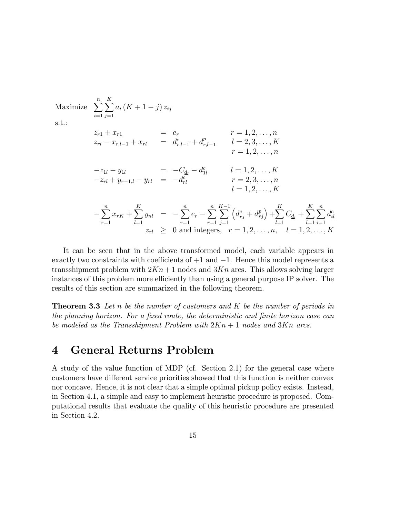Maximize  $\sum_{n=1}^{\infty}$  $i=1$  $\sum_{i=1}^K$  $\sum_{j=1}a_i\left(K+1-j\right)z_{ij}$  $z_{r1} + x_{r1} = e_r$   $r = 1, 2, ..., n$  $z_{rl} - x_{r,l-1} + x_{rl} = d_{r,l-1}^c + d_{r,l-1}^p$   $l = 2, 3, ..., K$  $r=1,2,\ldots,n$  $-z_{1l} - y_{1l} = -C_{\underline{d}_l} - d_{1l}^c \qquad l = 1, 2, \dots, K$  $-z_{rl} + y_{r-1,l} - y_{rl} = -d_{rl}^c$   $r = 2, 3, ..., n$  $l = 1, 2, \ldots, K$  $-\sum_{r=1}^n$  $x_{rK}+\sum\limits_{i=1}^{K}$  $\sum_{l=1}^{K} y_{nl}$  =  $-\sum_{r=1}^{n} e_r - \sum_{r=1}^{n}$  $\sum^{K-1}$  $j=1$  $\left(d_{rj}^c + d_{rj}^p\right) + \sum^K$  $_{l=1}$  $C_{\underline{d}_l} + \sum^K$  $_{l=1}$  $\sum_{n=1}^{\infty}$  $i=1$  $d_{il}^c$  $z_{rl} \geq 0$  and integers,  $r = 1, 2, ..., n, \quad l = 1, 2, ..., K$ 

It can be seen that in the above transformed model, each variable appears in exactly two constraints with coefficients of  $+1$  and  $-1$ . Hence this model represents a transshipment problem with  $2Kn+1$  nodes and  $3Kn$  arcs. This allows solving larger instances of this problem more efficiently than using a general purpose IP solver. The results of this section are summarized in the following theorem.

**Theorem 3.3** Let n be the number of customers and  $K$  be the number of periods in the planning horizon. For a fixed route, the deterministic and finite horizon case can be modeled as the Transshipment Problem with  $2Kn + 1$  nodes and  $3Kn$  arcs.

### 4 General Returns Problem

A study of the value function of MDP (cf. Section 2.1) for the general case where customers have different service priorities showed that this function is neither convex nor concave. Hence, it is not clear that a simple optimal pickup policy exists. Instead, in Section 4.1, a simple and easy to implement heuristic procedure is proposed. Computational results that evaluate the quality of this heuristic procedure are presented in Section 4.2.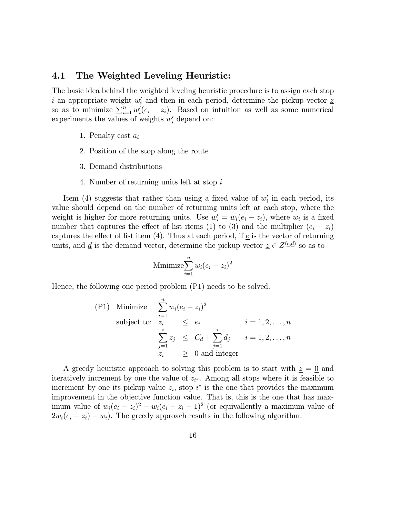### 4.1 The Weighted Leveling Heuristic:

The basic idea behind the weighted leveling heuristic procedure is to assign each stop i an appropriate weight  $w_i'$  and then in each period, determine the pickup vector  $\underline{z}$ so as to minimize  $\sum_{i=1}^n w_i'(e_i - z_i)$ . Based on intuition as well as some numerical experiments the values of weights  $w_i'$  depend on:

- 1. Penalty cost  $a_i$
- 2. Position of the stop along the route
- 3. Demand distributions
- 4. Number of returning units left at stop i

Item (4) suggests that rather than using a fixed value of  $w_i'$  in each period, its value should depend on the number of returning units left at each stop, where the weight is higher for more returning units. Use  $w'_i = w_i(e_i - z_i)$ , where  $w_i$  is a fixed number that captures the effect of list items (1) to (3) and the multiplier  $(e_i - z_i)$ captures the effect of list item (4). Thus at each period, if  $\underline{e}$  is the vector of returning units, and <u>d</u> is the demand vector, determine the pickup vector  $\underline{z} \in Z^{(\underline{e}, \underline{d})}$  so as to

Minimize 
$$
\sum_{i=1}^{n} w_i (e_i - z_i)^2
$$

Hence, the following one period problem (P1) needs to be solved.

$$
\begin{array}{lll}\n\text{(P1)} & \text{Minimize} & \sum_{i=1}^{n} w_i (e_i - z_i)^2 \\
& \text{subject to:} & z_i & \leq e_i & i = 1, 2, \dots, n \\
& \sum_{j=1}^{i} z_j & \leq C_{\underline{d}} + \sum_{j=1}^{i} d_j & i = 1, 2, \dots, n \\
& z_i & \geq 0 \text{ and integer}\n\end{array}
$$

A greedy heuristic approach to solving this problem is to start with  $\underline{z} = \underline{0}$  and iteratively increment by one the value of  $z_{i^*}$ . Among all stops where it is feasible to increment by one its pickup value  $z_i$ , stop  $i^*$  is the one that provides the maximum improvement in the objective function value. That is, this is the one that has maximum value of  $w_i(e_i - z_i)^2 - w_i(e_i - z_i - 1)^2$  (or equivalently a maximum value of  $2w_i(e_i - z_i) - w_i$ . The greedy approach results in the following algorithm.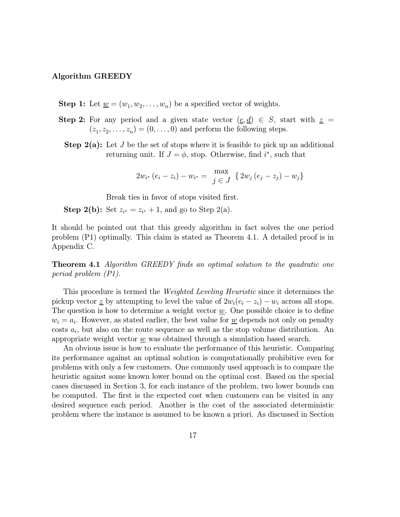#### Algorithm GREEDY

- **Step 1:** Let  $\underline{w} = (w_1, w_2, \dots, w_n)$  be a specified vector of weights.
- Step 2: For any period and a given state vector  $(\underline{e}, \underline{d}) \in S$ , start with  $\underline{z} =$  $(z_1, z_2,...,z_n) = (0,...,0)$  and perform the following steps.
	- **Step 2(a):** Let J be the set of stops where it is feasible to pick up an additional returning unit. If  $J = \phi$ , stop. Otherwise, find  $i^*$ , such that

$$
2w_{i^*} (e_i - z_i) - w_{i^*} = \max_{j \in J} \{ 2w_j (e_j - z_j) - w_j \}
$$

Break ties in favor of stops visited first.

**Step 2(b):** Set  $z_{i^*} = z_{i^*} + 1$ , and go to Step 2(a).

It should be pointed out that this greedy algorithm in fact solves the one period problem (P1) optimally. This claim is stated as Theorem 4.1. A detailed proof is in Appendix C.

**Theorem 4.1** Algorithm GREEDY finds an optimal solution to the quadratic one period problem (P1).

This procedure is termed the Weighted Leveling Heuristic since it determines the pickup vector z by attempting to level the value of  $2w_i(e_i - z_i) - w_i$  across all stops. The question is how to determine a weight vector  $\underline{w}$ . One possible choice is to define  $w_i = a_i$ . However, as stated earlier, the best value for <u>w</u> depends not only on penalty costs  $a_i$ , but also on the route sequence as well as the stop volume distribution. An appropriate weight vector  $\underline{w}$  was obtained through a simulation based search.

An obvious issue is how to evaluate the performance of this heuristic. Comparing its performance against an optimal solution is computationally prohibitive even for problems with only a few customers. One commonly used approach is to compare the heuristic against some known lower bound on the optimal cost. Based on the special cases discussed in Section 3, for each instance of the problem, two lower bounds can be computed. The first is the expected cost when customers can be visited in any desired sequence each period. Another is the cost of the associated deterministic problem where the instance is assumed to be known a priori. As discussed in Section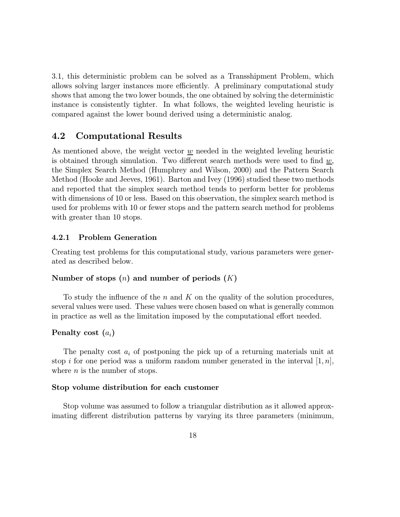3.1, this deterministic problem can be solved as a Transshipment Problem, which allows solving larger instances more efficiently. A preliminary computational study shows that among the two lower bounds, the one obtained by solving the deterministic instance is consistently tighter. In what follows, the weighted leveling heuristic is compared against the lower bound derived using a deterministic analog.

### 4.2 Computational Results

As mentioned above, the weight vector  $w$  needed in the weighted leveling heuristic is obtained through simulation. Two different search methods were used to find  $\underline{w}$ , the Simplex Search Method (Humphrey and Wilson, 2000) and the Pattern Search Method (Hooke and Jeeves, 1961). Barton and Ivey (1996) studied these two methods and reported that the simplex search method tends to perform better for problems with dimensions of 10 or less. Based on this observation, the simplex search method is used for problems with 10 or fewer stops and the pattern search method for problems with greater than 10 stops.

#### 4.2.1 Problem Generation

Creating test problems for this computational study, various parameters were generated as described below.

#### Number of stops  $(n)$  and number of periods  $(K)$

To study the influence of the n and K on the quality of the solution procedures, several values were used. These values were chosen based on what is generally common in practice as well as the limitation imposed by the computational effort needed.

#### Penalty cost  $(a_i)$

The penalty cost  $a_i$  of postponing the pick up of a returning materials unit at stop i for one period was a uniform random number generated in the interval  $[1, n]$ , where  $n$  is the number of stops.

#### Stop volume distribution for each customer

Stop volume was assumed to follow a triangular distribution as it allowed approximating different distribution patterns by varying its three parameters (minimum,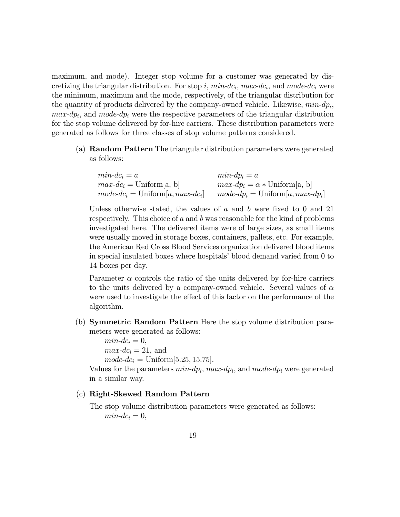maximum, and mode). Integer stop volume for a customer was generated by discretizing the triangular distribution. For stop i,  $min$ -dc<sub>i</sub>,  $max$ -dc<sub>i</sub>, and mode-dc<sub>i</sub> were the minimum, maximum and the mode, respectively, of the triangular distribution for the quantity of products delivered by the company-owned vehicle. Likewise,  $min\text{-}dp_i$ ,  $max-dp_i$ , and mode-dp<sub>i</sub> were the respective parameters of the triangular distribution for the stop volume delivered by for-hire carriers. These distribution parameters were generated as follows for three classes of stop volume patterns considered.

(a) Random Pattern The triangular distribution parameters were generated as follows:

| $min\text{-}dc_i = a$                      | $min\text{-}dp_i = a$                                       |
|--------------------------------------------|-------------------------------------------------------------|
| $max$ - $dc_i$ = Uniform[a, b]             | $max-dp_i = \alpha * Uniform[a, b]$                         |
| $mode$ - $dc_i$ = Uniform[a, max- $dc_i$ ] | $mode \text{-} dp_i = \text{Uniform}[a, max \text{-} dp_i]$ |

Unless otherwise stated, the values of  $a$  and  $b$  were fixed to 0 and 21 respectively. This choice of a and b was reasonable for the kind of problems investigated here. The delivered items were of large sizes, as small items were usually moved in storage boxes, containers, pallets, etc. For example, the American Red Cross Blood Services organization delivered blood items in special insulated boxes where hospitals' blood demand varied from 0 to 14 boxes per day.

Parameter  $\alpha$  controls the ratio of the units delivered by for-hire carriers to the units delivered by a company-owned vehicle. Several values of  $\alpha$ were used to investigate the effect of this factor on the performance of the algorithm.

(b) Symmetric Random Pattern Here the stop volume distribution parameters were generated as follows:

> $min$ - $dc_i = 0$ ,  $max$ - $dc_i = 21$ , and  $mode\text{-}dc_i = \text{Uniform}[5.25, 15.75].$

Values for the parameters  $min-dp_i$ ,  $max-dp_i$ , and  $mode-dp_i$  were generated in a similar way.

#### (c) Right-Skewed Random Pattern

The stop volume distribution parameters were generated as follows:  $min$ - $dc_i = 0$ ,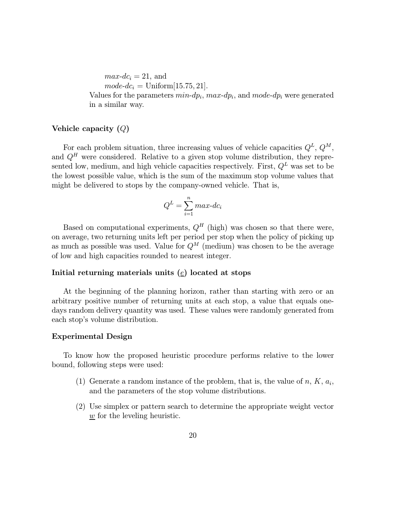$max$ -dc<sub>i</sub> = 21, and  $mode\text{-}dc_i = \text{Uniform}[15.75, 21].$ Values for the parameters  $min-dp_i$ ,  $max-dp_i$ , and  $mode-dp_i$  were generated in a similar way.

#### Vehicle capacity (Q)

For each problem situation, three increasing values of vehicle capacities  $Q^L$ ,  $Q^M$ , and  $Q<sup>H</sup>$  were considered. Relative to a given stop volume distribution, they represented low, medium, and high vehicle capacities respectively. First,  $Q^L$  was set to be the lowest possible value, which is the sum of the maximum stop volume values that might be delivered to stops by the company-owned vehicle. That is,

$$
Q^L = \sum_{i=1}^{n} max \cdot dc_i
$$

Based on computational experiments,  $Q^H$  (high) was chosen so that there were, on average, two returning units left per period per stop when the policy of picking up as much as possible was used. Value for  $Q^M$  (medium) was chosen to be the average of low and high capacities rounded to nearest integer.

#### Initial returning materials units  $(e)$  located at stops

At the beginning of the planning horizon, rather than starting with zero or an arbitrary positive number of returning units at each stop, a value that equals onedays random delivery quantity was used. These values were randomly generated from each stop's volume distribution.

#### Experimental Design

To know how the proposed heuristic procedure performs relative to the lower bound, following steps were used:

- (1) Generate a random instance of the problem, that is, the value of n,  $K$ ,  $a_i$ , and the parameters of the stop volume distributions.
- (2) Use simplex or pattern search to determine the appropriate weight vector  $\underline{w}$  for the leveling heuristic.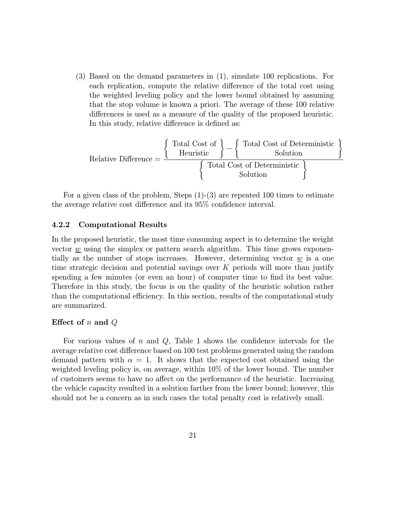(3) Based on the demand parameters in (1), simulate 100 replications. For each replication, compute the relative difference of the total cost using the weighted leveling policy and the lower bound obtained by assuming that the stop volume is known a priori. The average of these 100 relative differences is used as a measure of the quality of the proposed heuristic. In this study, relative difference is defined as:

$$
Relative Difference = \frac{\left\{ \begin{array}{c} \text{Total Cost of} \\ \text{Heuristic} \end{array} \right\} - \left\{ \begin{array}{c} \text{Total Cost of Deterministic} \\ \text{Solution} \end{array} \right\}}{\left\{ \begin{array}{c} \text{Total Cost of Deterministic} \\ \text{Solution} \end{array} \right\}}
$$

For a given class of the problem, Steps  $(1)-(3)$  are repeated 100 times to estimate the average relative cost difference and its 95% confidence interval.

#### 4.2.2 Computational Results

In the proposed heuristic, the most time consuming aspect is to determine the weight vector  $\underline{w}$  using the simplex or pattern search algorithm. This time grows exponentially as the number of stops increases. However, determining vector  $\underline{w}$  is a one time strategic decision and potential savings over  $K$  periods will more than justify spending a few minutes (or even an hour) of computer time to find its best value. Therefore in this study, the focus is on the quality of the heuristic solution rather than the computational efficiency. In this section, results of the computational study are summarized.

#### Effect of  $n$  and  $Q$

For various values of n and  $Q$ , Table 1 shows the confidence intervals for the average relative cost difference based on 100 test problems generated using the random demand pattern with  $\alpha = 1$ . It shows that the expected cost obtained using the weighted leveling policy is, on average, within 10% of the lower bound. The number of customers seems to have no affect on the performance of the heuristic. Increasing the vehicle capacity resulted in a solution farther from the lower bound; however, this should not be a concern as in such cases the total penalty cost is relatively small.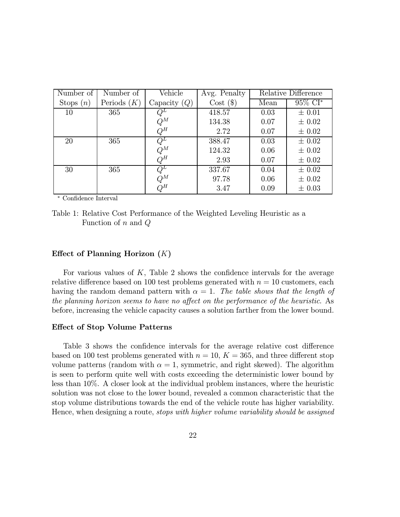| Number of   | Number of     | Vehicle        | Avg. Penalty |      | Relative Difference |
|-------------|---------------|----------------|--------------|------|---------------------|
| Stops $(n)$ | Periods $(K)$ | Capacity $(Q)$ | $Cost($ \$)  | Mean | 95% CI*             |
| 10          | 365           |                | 418.57       | 0.03 | $\pm 0.01$          |
|             |               | $Q^M$          | 134.38       | 0.07 | $\pm 0.02$          |
|             |               | $Q^H$          | 2.72         | 0.07 | $\pm 0.02$          |
| 20          | 365           | $Q^L$          | 388.47       | 0.03 | $\pm 0.02$          |
|             |               | $Q^M$          | 124.32       | 0.06 | $\pm 0.02$          |
|             |               | $Q^H$          | 2.93         | 0.07 | $\pm 0.02$          |
| 30          | 365           | $Q^L$          | 337.67       | 0.04 | $\pm 0.02$          |
|             |               | $Q^M$          | 97.78        | 0.06 | $\pm 0.02$          |
|             |               | $Q^H$          | 3.47         | 0.09 | $\pm 0.03$          |

∗ Confidence Interval

#### Effect of Planning Horizon  $(K)$

For various values of  $K$ , Table 2 shows the confidence intervals for the average relative difference based on 100 test problems generated with  $n = 10$  customers, each having the random demand pattern with  $\alpha = 1$ . The table shows that the length of the planning horizon seems to have no affect on the performance of the heuristic. As before, increasing the vehicle capacity causes a solution farther from the lower bound.

#### Effect of Stop Volume Patterns

Table 3 shows the confidence intervals for the average relative cost difference based on 100 test problems generated with  $n = 10, K = 365$ , and three different stop volume patterns (random with  $\alpha = 1$ , symmetric, and right skewed). The algorithm is seen to perform quite well with costs exceeding the deterministic lower bound by less than 10%. A closer look at the individual problem instances, where the heuristic solution was not close to the lower bound, revealed a common characteristic that the stop volume distributions towards the end of the vehicle route has higher variability. Hence, when designing a route, *stops with higher volume variability should be assigned* 

Table 1: Relative Cost Performance of the Weighted Leveling Heuristic as a Function of  $n$  and  $Q$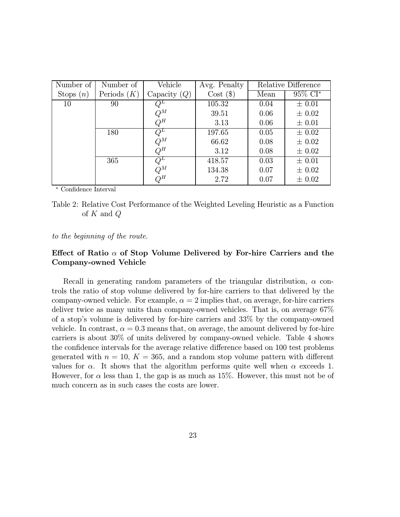| Number of   | Number of     | Vehicle        | Avg. Penalty | Relative Difference |            |
|-------------|---------------|----------------|--------------|---------------------|------------|
| Stops $(n)$ | Periods $(K)$ | Capacity $(Q)$ | $Cost($ \$)  | Mean                | $95\%$ CI* |
| 10          | 90            |                | 105.32       | 0.04                | $\pm 0.01$ |
|             |               | $Q^M$          | 39.51        | 0.06                | $\pm 0.02$ |
|             |               | $Q^H$          | 3.13         | 0.06                | $\pm 0.01$ |
|             | 180           | $Q^L$          | 197.65       | 0.05                | $\pm 0.02$ |
|             |               | $Q^M$          | 66.62        | 0.08                | $\pm 0.02$ |
|             |               | $Q^H$          | 3.12         | 0.08                | $\pm 0.02$ |
|             | 365           | $Q^L$          | 418.57       | 0.03                | $\pm 0.01$ |
|             |               | $Q^M$          | 134.38       | 0.07                | $\pm 0.02$ |
|             |               | $Q^H$          | 2.72         | 0.07                | $\pm 0.02$ |

∗ Confidence Interval

Table 2: Relative Cost Performance of the Weighted Leveling Heuristic as a Function of  $K$  and  $Q$ 

to the beginning of the route.

### Effect of Ratio  $\alpha$  of Stop Volume Delivered by For-hire Carriers and the Company-owned Vehicle

Recall in generating random parameters of the triangular distribution,  $\alpha$  controls the ratio of stop volume delivered by for-hire carriers to that delivered by the company-owned vehicle. For example,  $\alpha = 2$  implies that, on average, for-hire carriers deliver twice as many units than company-owned vehicles. That is, on average 67% of a stop's volume is delivered by for-hire carriers and 33% by the company-owned vehicle. In contrast,  $\alpha = 0.3$  means that, on average, the amount delivered by for-hire carriers is about 30% of units delivered by company-owned vehicle. Table 4 shows the confidence intervals for the average relative difference based on 100 test problems generated with  $n = 10, K = 365$ , and a random stop volume pattern with different values for  $\alpha$ . It shows that the algorithm performs quite well when  $\alpha$  exceeds 1. However, for  $\alpha$  less than 1, the gap is as much as 15%. However, this must not be of much concern as in such cases the costs are lower.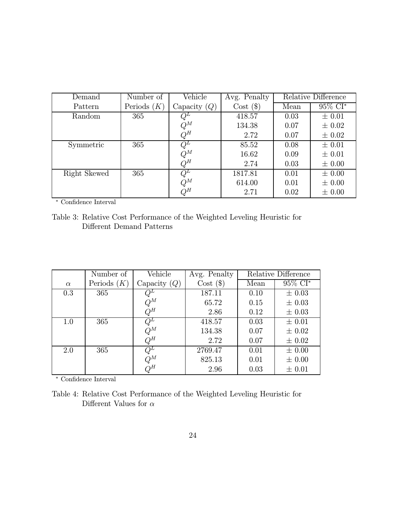| Demand       | Number of     | Vehicle        | Avg. Penalty | Relative Difference |                        |
|--------------|---------------|----------------|--------------|---------------------|------------------------|
| Pattern      | Periods $(K)$ | Capacity $(Q)$ | $Cost($ \$)  | Mean                | $95\%$ CI <sup>*</sup> |
| Random       | 365           |                | 418.57       | 0.03                | $\pm 0.01$             |
|              |               | $Q^M$          | 134.38       | 0.07                | $\pm 0.02$             |
|              |               | $Q^H$          | 2.72         | 0.07                | $\pm 0.02$             |
| Symmetric    | 365           |                | 85.52        | 0.08                | $\pm 0.01$             |
|              |               | $Q^M$          | 16.62        | 0.09                | $\pm 0.01$             |
|              |               | $Q^H$          | 2.74         | 0.03                | $\pm 0.00$             |
| Right Skewed | 365           | $Q^L$          | 1817.81      | 0.01                | $\pm 0.00$             |
|              |               | $Q^M$          | 614.00       | 0.01                | $\pm 0.00$             |
|              |               | $Q^H$          | 2.71         | 0.02                | $\pm 0.00$             |

∗ Confidence Interval

Table 3: Relative Cost Performance of the Weighted Leveling Heuristic for Different Demand Patterns

|          | Number of     | Vehicle        | Avg. Penalty | Relative Difference |            |
|----------|---------------|----------------|--------------|---------------------|------------|
| $\alpha$ | Periods $(K)$ | Capacity $(Q)$ | $Cost($ \$)  | Mean                | $95\%$ CI* |
| 0.3      | 365           |                | 187.11       | 0.10                | $\pm 0.03$ |
|          |               | $Q^M$          | 65.72        | 0.15                | $\pm 0.03$ |
|          |               | $Q^H$          | 2.86         | 0.12                | $\pm 0.03$ |
| 1.0      | 365           | $Q^L$          | 418.57       | 0.03                | $\pm 0.01$ |
|          |               | $Q^M$          | 134.38       | 0.07                | $\pm 0.02$ |
|          |               | $Q^H$          | 2.72         | 0.07                | $\pm 0.02$ |
| 2.0      | 365           | $\bar{Q}^L$    | 2769.47      | 0.01                | $\pm 0.00$ |
|          |               | $Q^M$          | 825.13       | 0.01                | $\pm 0.00$ |
|          |               | $Q^H$          | 2.96         | 0.03                | $\pm 0.01$ |

∗ Confidence Interval

|                               | Table 4: Relative Cost Performance of the Weighted Leveling Heuristic for |  |  |  |
|-------------------------------|---------------------------------------------------------------------------|--|--|--|
| Different Values for $\alpha$ |                                                                           |  |  |  |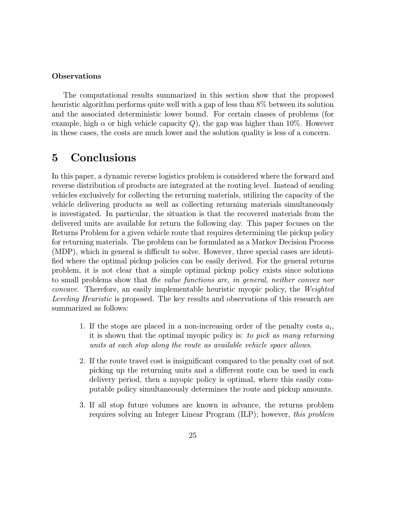#### **Observations**

The computational results summarized in this section show that the proposed heuristic algorithm performs quite well with a gap of less than 8% between its solution and the associated deterministic lower bound. For certain classes of problems (for example, high  $\alpha$  or high vehicle capacity Q), the gap was higher than 10%. However in these cases, the costs are much lower and the solution quality is less of a concern.

# 5 Conclusions

In this paper, a dynamic reverse logistics problem is considered where the forward and reverse distribution of products are integrated at the routing level. Instead of sending vehicles exclusively for collecting the returning materials, utilizing the capacity of the vehicle delivering products as well as collecting returning materials simultaneously is investigated. In particular, the situation is that the recovered materials from the delivered units are available for return the following day. This paper focuses on the Returns Problem for a given vehicle route that requires determining the pickup policy for returning materials. The problem can be formulated as a Markov Decision Process (MDP), which in general is difficult to solve. However, three special cases are identified where the optimal pickup policies can be easily derived. For the general returns problem, it is not clear that a simple optimal pickup policy exists since solutions to small problems show that the value functions are, in general, neither convex nor concave. Therefore, an easily implementable heuristic myopic policy, the Weighted Leveling Heuristic is proposed. The key results and observations of this research are summarized as follows:

- 1. If the stops are placed in a non-increasing order of the penalty costs  $a_i$ , it is shown that the optimal myopic policy is: to pick as many returning units at each stop along the route as available vehicle space allows.
- 2. If the route travel cost is insignificant compared to the penalty cost of not picking up the returning units and a different route can be used in each delivery period, then a myopic policy is optimal, where this easily computable policy simultaneously determines the route and pickup amounts.
- 3. If all stop future volumes are known in advance, the returns problem requires solving an Integer Linear Program (ILP); however, this problem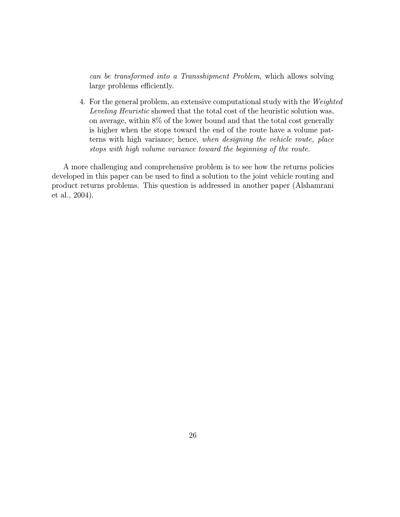can be transformed into a Transshipment Problem, which allows solving large problems efficiently.

4. For the general problem, an extensive computational study with the Weighted Leveling Heuristic showed that the total cost of the heuristic solution was, on average, within 8% of the lower bound and that the total cost generally is higher when the stops toward the end of the route have a volume patterns with high variance; hence, when designing the vehicle route, place stops with high volume variance toward the beginning of the route.

A more challenging and comprehensive problem is to see how the returns policies developed in this paper can be used to find a solution to the joint vehicle routing and product returns problems. This question is addressed in another paper (Alshamrani et al., 2004).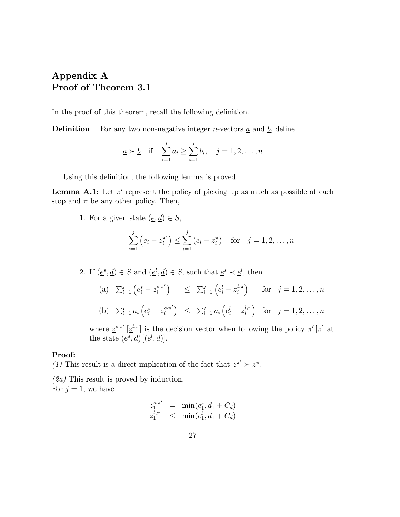# Appendix A Proof of Theorem 3.1

In the proof of this theorem, recall the following definition.

**Definition** For any two non-negative integer *n*-vectors  $\underline{a}$  and  $\underline{b}$ , define

$$
\underline{a} \succ \underline{b}
$$
 if  $\sum_{i=1}^{j} a_i \ge \sum_{i=1}^{j} b_i$ ,  $j = 1, 2, ..., n$ 

Using this definition, the following lemma is proved.

**Lemma A.1:** Let  $\pi'$  represent the policy of picking up as much as possible at each stop and  $\pi$  be any other policy. Then,

1. For a given state  $(\underline{e}, \underline{d}) \in S$ ,

$$
\sum_{i=1}^{j} (e_i - z_i^{\pi'}) \le \sum_{i=1}^{j} (e_i - z_i^{\pi}) \text{ for } j = 1, 2, ..., n
$$

2. If  $(\underline{e}^s, \underline{d}) \in S$  and  $(\underline{e}^l, \underline{d}) \in S$ , such that  $\underline{e}^s \prec \underline{e}^l$ , then

(a)  $\sum_{i=1}^{j} (e_i^s - z_i^{s,\pi'} )$  $\Big) \quad \leq \quad \sum_{i=1}^j \Big(e_i^l - z_i^{l,\pi} \Big)$ ) for  $j = 1, 2, ..., n$ (b)  $\sum_{i=1}^{j} a_i \left( e_i^s - z_i^{s,\pi'} \right)$  $\Big) \quad \leq \quad \sum_{i=1}^j a_i \left( e^l_i - z^{l,\pi}_i \right)$ ) for  $j = 1, 2, ..., n$ 

where  $\underline{z}^{s,\pi'}\left[\underline{z}^{l,\pi}\right]$  is the decision vector when following the policy  $\pi'\left[\pi\right]$  at the state  $(\underline{e}^s, \underline{d})$   $[(\underline{e}^l, \underline{d})]$ .

#### Proof:

(1) This result is a direct implication of the fact that  $z^{\pi'} \succ z^{\pi}$ .

(2a) This result is proved by induction. For  $j = 1$ , we have

$$
z_1^{s,\pi'} = \min(e_1^s, d_1 + C_{\underline{d}}) z_1^{l,\pi} \leq \min(e_1^l, d_1 + C_{\underline{d}})
$$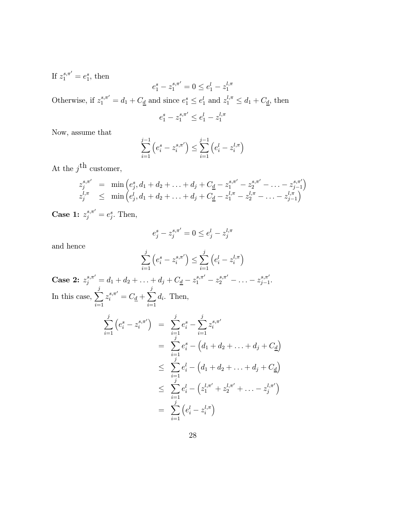If  $z_1^{s,\pi'} = e_1^s$ , then

$$
e_1^s - z_1^{s,\pi'} = 0 \le e_1^l - z_1^{l,\pi}
$$

Otherwise, if  $z_1^{s,\pi'} = d_1 + C_{\underline{d}}$  and since  $e_1^s \leq e_1^l$  and  $z_1^{l,\pi} \leq d_1 + C_{\underline{d}}$ , then

$$
e_1^s - z_1^{s,\pi'} \le e_1^l - z_1^{l,\pi}
$$

Now, assume that

$$
\sum_{i=1}^{j-1} (e_i^s - z_i^{s,\pi'}) \le \sum_{i=1}^{j-1} (e_i^l - z_i^{l,\pi})
$$

At the  $j^{\mbox{th}}$  customer,

$$
z_j^{s,\pi'} = \min\left(e_j^s, d_1 + d_2 + \ldots + d_j + C_{\underline{d}} - z_1^{s,\pi'} - z_2^{s,\pi'} - \ldots - z_{j-1}^{s,\pi'}\right) z_j^{l,\pi} \leq \min\left(e_j^l, d_1 + d_2 + \ldots + d_j + C_{\underline{d}} - z_1^{l,\pi} - z_2^{l,\pi} - \ldots - z_{j-1}^{l,\pi}\right)
$$

**Case 1:**  $z_j^{s,\pi'} = e_j^s$ . Then,

$$
e_j^s - z_j^{s,\pi'} = 0 \le e_j^l - z_j^{l,\pi}
$$

and hence

$$
\sum_{i=1}^j \left(e_i^s - z_i^{s,\pi'}\right) \leq \sum_{i=1}^j \left(e_i^l - z_i^{l,\pi}\right)
$$

Case 2:  $z_j^{s,\pi'} = d_1 + d_2 + \ldots + d_j + C_{\underline{d}} - z_1^{s,\pi'} - z_2^{s,\pi'} - \ldots - z_{j-1}^{s,\pi'}.$ In this case,  $\sum_{i=1}^{j}$  $i=1$  $z_i^{s,\pi'} = C_{\underline{d}} + \sum^j$  $i=1$  $d_i$ . Then,

$$
\sum_{i=1}^{j} (e_i^s - z_i^{s,\pi'}) = \sum_{i=1}^{j} e_i^s - \sum_{i=1}^{j} z_i^{s,\pi'}
$$
\n
$$
= \sum_{i=1}^{j} e_i^s - (d_1 + d_2 + \dots + d_j + C_{\underline{d}})
$$
\n
$$
\leq \sum_{i=1}^{j} e_i^l - (d_1 + d_2 + \dots + d_j + C_{\underline{d}})
$$
\n
$$
\leq \sum_{i=1}^{j} e_i^l - (z_1^{l,\pi'} + z_2^{l,\pi'} + \dots - z_j^{l,\pi'})
$$
\n
$$
= \sum_{i=1}^{j} (e_i^l - z_i^{l,\pi})
$$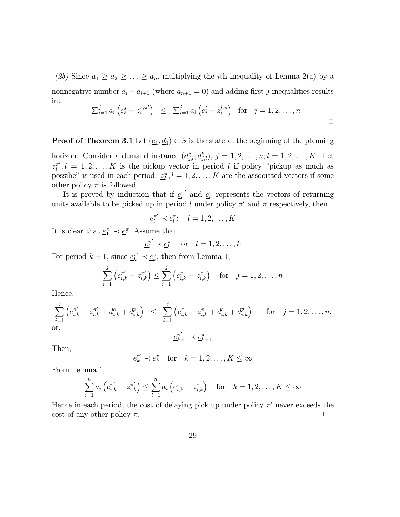(2b) Since  $a_1 \ge a_2 \ge \ldots \ge a_n$ , multiplying the *i*th inequality of Lemma 2(a) by a nonnegative number  $a_i - a_{i+1}$  (where  $a_{n+1} = 0$ ) and adding first j inequalities results in:

$$
\sum_{i=1}^{j} a_i \left( e_i^s - z_i^{s, \pi'} \right) \leq \sum_{i=1}^{j} a_i \left( e_i^l - z_i^{l, \pi} \right) \text{ for } j = 1, 2, \dots, n
$$

**Proof of Theorem 3.1** Let  $(\underline{e}_1, \underline{d}_1) \in S$  is the state at the beginning of the planning

horizon. Consider a demand instance  $(d_{j,l}^c, d_{j,l}^p), j = 1, 2, \ldots, n; l = 1, 2, \ldots, K$ . Let  $\underline{z}_{l}^{\pi'}$ ,  $l = 1, 2, ..., K$  is the pickup vector in period l if policy "pickup as much as possibe" is used in each period.  $\underline{z}_l^{\pi}, l = 1, 2, \ldots, K$  are the associated vectors if some other policy  $\pi$  is followed.

It is proved by induction that if  $\underline{e}_l^{\pi'}$  and  $\underline{e}_l^{\pi}$  represents the vectors of returning units available to be picked up in period l under policy  $\pi'$  and  $\pi$  respectively, then

$$
\underline{e}_l^{\pi'} \prec \underline{e}_l^{\pi}; \quad l=1,2,\ldots,K
$$

It is clear that  $\underline{e}_1^{\pi'} \prec \underline{e}_1^{\pi}$ . Assume that

$$
\underline{e}_l^{\pi'} \prec \underline{e}_l^{\pi} \quad \text{for} \quad l = 1, 2, \dots, k
$$

For period  $k + 1$ , since  $\underline{e}_k^{\pi'} \prec \underline{e}_k^{\pi}$ , then from Lemma 1,

$$
\sum_{i=1}^{j} \left( e_{i,k}^{\pi'} - z_{i,k}^{\pi'} \right) \leq \sum_{i=1}^{j} \left( e_{i,k}^{\pi} - z_{i,k}^{\pi} \right) \quad \text{for} \quad j = 1, 2, \dots, n
$$

Hence,

$$
\sum_{i=1}^{j} \left( e_{i,k}^{\pi'} - z_{i,k}^{\pi'} + d_{i,k}^c + d_{i,k}^p \right) \leq \sum_{i=1}^{j} \left( e_{i,k}^{\pi} - z_{i,k}^{\pi} + d_{i,k}^c + d_{i,k}^p \right) \quad \text{for} \quad j = 1, 2, \dots, n,
$$
\nor,\n
$$
\underline{e}_{k+1}^{\pi'} \prec \underline{e}_{k+1}^{\pi}
$$

Then,

$$
\underline{e}_k^{\pi'} \prec \underline{e}_k^{\pi} \quad \text{for} \quad k = 1, 2, \dots, K \le \infty
$$

From Lemma 1,

$$
\sum_{i=1}^{n} a_i \left( e_{i,k}^{\pi'} - z_{i,k}^{\pi'} \right) \le \sum_{i=1}^{n} a_i \left( e_{i,k}^{\pi} - z_{i,k}^{\pi} \right) \text{ for } k = 1, 2, ..., K \le \infty
$$

Hence in each period, the cost of delaying pick up under policy  $\pi'$  never exceeds the cost of any other policy  $\pi$ .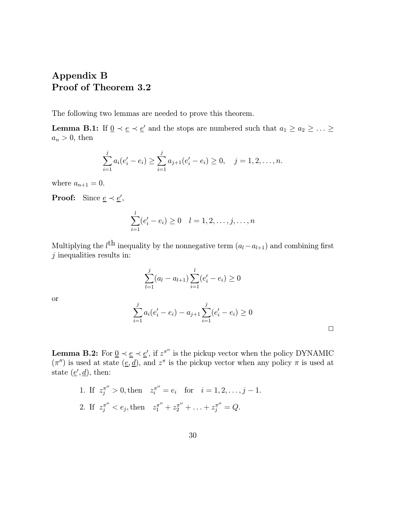# Appendix B Proof of Theorem 3.2

The following two lemmas are needed to prove this theorem.

**Lemma B.1:** If  $0 \lt e \lt e'$  and the stops are numbered such that  $a_1 \ge a_2 \ge \ldots \ge a_n$  $a_n > 0$ , then

$$
\sum_{i=1}^j a_i(e'_i-e_i) \geq \sum_{i=1}^j a_{j+1}(e'_i-e_i) \geq 0, \quad j=1,2,\ldots,n.
$$

where  $a_{n+1} = 0$ .

**Proof:** Since  $\underline{e} \prec \underline{e}'$ ,

$$
\sum_{i=1}^{l} (e'_i - e_i) \ge 0 \quad l = 1, 2, \dots, j, \dots, n
$$

Multiplying the  $l^{\text{th}}$  inequality by the nonnegative term  $(a_l - a_{l+1})$  and combining first  $j$  inequalities results in:

$$
\sum_{l=1}^{j} (a_l - a_{l+1}) \sum_{i=1}^{l} (e'_i - e_i) \ge 0
$$

or

$$
\sum_{i=1}^j a_i(e'_i - e_i) - a_{j+1} \sum_{i=1}^j (e'_i - e_i) \geq 0
$$

 $\Box$ 

**Lemma B.2:** For  $\underline{0} \lt \underline{e} \lt \underline{e}'$ , if  $z^{\pi''}$  is the pickup vector when the policy DYNAMIC  $(\pi'')$  is used at state  $(\underline{e}, \underline{d})$ , and  $z^{\pi}$  is the pickup vector when any policy  $\pi$  is used at state  $(\underline{e}', \underline{d})$ , then:

1. If  $z_j^{\pi''} > 0$ , then  $z_i^{\pi''} = e_i$  for  $i = 1, 2, ..., j - 1$ . 2. If  $z_j^{\pi''} < e_j$ , then  $z_1^{\pi''} + z_2^{\pi''} + \ldots + z_j^{\pi''} = Q$ .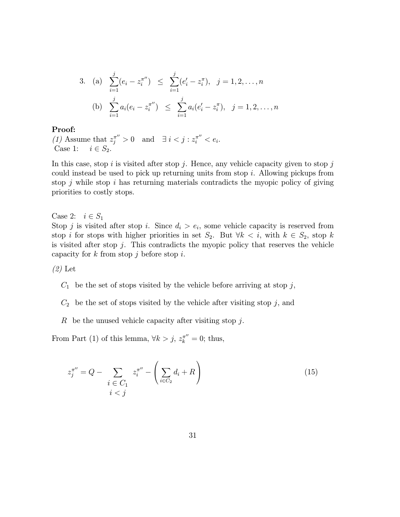3. (a) 
$$
\sum_{i=1}^{j} (e_i - z_i^{\pi}) \leq \sum_{i=1}^{j} (e'_i - z_i^{\pi}), \quad j = 1, 2, ..., n
$$
  
\n(b) 
$$
\sum_{i=1}^{j} a_i (e_i - z_i^{\pi}) \leq \sum_{i=1}^{j} a_i (e'_i - z_i^{\pi}), \quad j = 1, 2, ..., n
$$

#### Proof:

(1) Assume that  $z_j^{\pi''} > 0$  and  $\exists i < j : z_i^{\pi''} < e_i$ . Case 1:  $i \in S_2$ .

In this case, stop i is visited after stop j. Hence, any vehicle capacity given to stop j could instead be used to pick up returning units from stop i. Allowing pickups from stop  $j$  while stop  $i$  has returning materials contradicts the myopic policy of giving priorities to costly stops.

Case 2:  $i \in S_1$ 

Stop j is visited after stop i. Since  $d_i > e_i$ , some vehicle capacity is reserved from stop i for stops with higher priorities in set  $S_2$ . But  $\forall k \leq i$ , with  $k \in S_2$ , stop k is visited after stop  $j$ . This contradicts the myopic policy that reserves the vehicle capacity for  $k$  from stop  $j$  before stop  $i$ .

 $(2)$  Let

- $C_1$  be the set of stops visited by the vehicle before arriving at stop j,
- $C_2$  be the set of stops visited by the vehicle after visiting stop j, and
- R be the unused vehicle capacity after visiting stop  $j$ .

From Part (1) of this lemma,  $\forall k > j$ ,  $z_k^{\pi''} = 0$ ; thus,

$$
z_j^{\pi''} = Q - \sum_{\substack{i \in C_1 \\ i < j}} z_i^{\pi''} - \left(\sum_{i \in C_2} d_i + R\right) \tag{15}
$$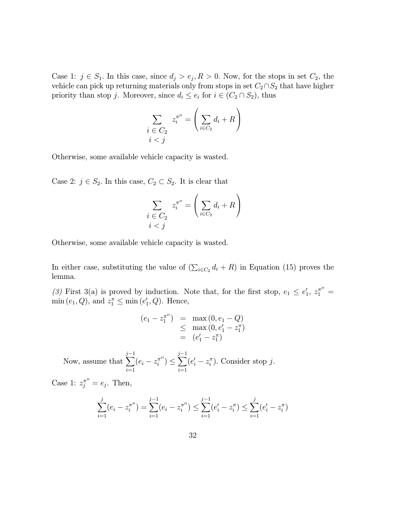Case 1:  $j \in S_1$ . In this case, since  $d_j > e_j, R > 0$ . Now, for the stops in set  $C_2$ , the vehicle can pick up returning materials only from stops in set  $C_2 \cap S_2$  that have higher priority than stop j. Moreover, since  $d_i \leq e_i$  for  $i \in (C_2 \cap S_2)$ , thus

$$
\sum_{\substack{i \in C_2 \\ i < j}} z_i^{\pi''} = \left(\sum_{i \in C_2} d_i + R\right)
$$

Otherwise, some available vehicle capacity is wasted.

Case 2:  $j \in S_2$ . In this case,  $C_2 \subset S_2$ . It is clear that

$$
\sum_{\substack{i \in C_2 \\ i < j}} z_i^{\pi''} = \left(\sum_{i \in C_2} d_i + R\right)
$$

Otherwise, some available vehicle capacity is wasted.

In either case, substituting the value of  $(\sum_{i \in C_2} d_i + R)$  in Equation (15) proves the lemma.

(3) First 3(a) is proved by induction. Note that, for the first stop,  $e_1 \n\t\le e'_1, z_1^{\pi''} =$  $\min(e_1, Q)$ , and  $z_1^{\pi} \leq \min(e'_1, Q)$ . Hence,

$$
(e_1 - z_1^{\pi''}) = \max(0, e_1 - Q)
$$
  
\n
$$
\leq \max(0, e'_1 - z_1^{\pi})
$$
  
\n
$$
= (e'_1 - z_1^{\pi})
$$

Now, assume that j 3−1  $\sum_{i=1} (e_i - z_i^{\pi''}) \leq$ j 3−1  $i=1$  $(e'_i - z_i^{\pi})$ . Consider stop j.

Case 1:  $z_j^{\pi} = e_j$ . Then,

$$
\sum_{i=1}^{j} (e_i - z_i^{\pi''}) = \sum_{i=1}^{j-1} (e_i - z_i^{\pi''}) \le \sum_{i=1}^{j-1} (e'_i - z_i^{\pi}) \le \sum_{i=1}^{j} (e'_i - z_i^{\pi})
$$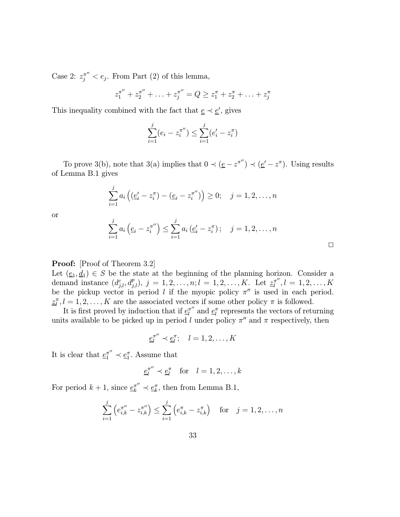Case 2:  $z_j^{\pi''} < e_j$ . From Part (2) of this lemma,

$$
z_1^{\pi''} + z_2^{\pi''} + \ldots + z_j^{\pi''} = Q \ge z_1^{\pi} + z_2^{\pi} + \ldots + z_j^{\pi}
$$

This inequality combined with the fact that  $\underline{e} \prec \underline{e}'$ , gives

$$
\sum_{i=1}^{j} (e_i - z_i^{\pi''}) \le \sum_{i=1}^{j} (e'_i - z_i^{\pi})
$$

To prove 3(b), note that 3(a) implies that  $0 \prec (\underline{e} - z^{\pi''}) \prec (\underline{e}' - z^{\pi})$ . Using results of Lemma B.1 gives

$$
\sum_{i=1}^{j} a_i \left( \left( \underline{e}'_i - z_i^{\pi} \right) - \left( \underline{e}_i - z_i^{\pi''} \right) \right) \ge 0; \quad j = 1, 2, \dots, n
$$

or

$$
\sum_{i=1}^{j} a_i \left( \underline{e}_i - z_i^{\pi''} \right) \leq \sum_{i=1}^{j} a_i \left( \underline{e}'_i - z_i^{\pi} \right); \quad j = 1, 2, \dots, n
$$

 $\Box$ 

#### Proof: [Proof of Theorem 3.2]

Let  $(\underline{e}_1, \underline{d}_1) \in S$  be the state at the beginning of the planning horizon. Consider a demand instance  $(d_{j,l}^c, d_{j,l}^p), j = 1, 2, ..., n; l = 1, 2, ..., K$ . Let  $\underline{z}_l^{\pi''}, l = 1, 2, ..., K$ be the pickup vector in period l if the myopic policy  $\pi''$  is used in each period.  $\underline{z}_l^{\pi}, l = 1, 2, \ldots, K$  are the associated vectors if some other policy  $\pi$  is followed.

It is first proved by induction that if  $\underline{e}_l^{\pi''}$  and  $\underline{e}_l^{\pi}$  represents the vectors of returning units available to be picked up in period l under policy  $\pi''$  and  $\pi$  respectively, then

$$
\underline{e}_l^{\pi''} \prec \underline{e}_l^{\pi}; \quad l = 1, 2, \dots, K
$$

It is clear that  $\underline{e}_1^{\pi''} \prec \underline{e}_1^{\pi}$ . Assume that

$$
\underline{e}_l^{\pi''} \prec \underline{e}_l^{\pi} \quad \text{for} \quad l = 1, 2, \dots, k
$$

For period  $k + 1$ , since  $\underline{e}_k^{\pi''} \prec \underline{e}_k^{\pi}$ , then from Lemma B.1,

$$
\sum_{i=1}^{j} \left( e_{i,k}^{\pi''} - z_{i,k}^{\pi''} \right) \le \sum_{i=1}^{j} \left( e_{i,k}^{\pi} - z_{i,k}^{\pi} \right) \quad \text{for} \quad j = 1, 2, \dots, n
$$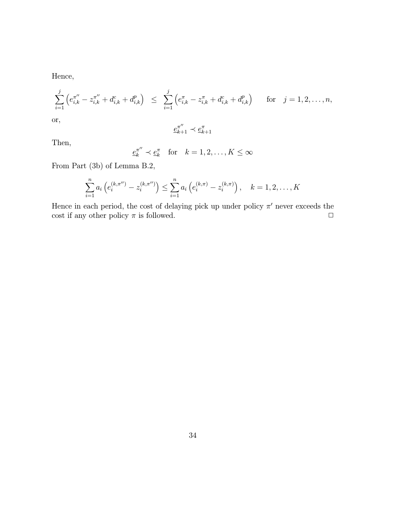Hence,

$$
\sum_{i=1}^{j} \left( e_{i,k}^{\pi''} - z_{i,k}^{\pi''} + d_{i,k}^c + d_{i,k}^p \right) \leq \sum_{i=1}^{j} \left( e_{i,k}^{\pi} - z_{i,k}^{\pi} + d_{i,k}^c + d_{i,k}^p \right) \quad \text{for} \quad j = 1, 2, \dots, n,
$$
\nor,\n
$$
\pi'' \quad \pi
$$

$$
\underline{e}_{k+1}^{\pi''} \prec \underline{e}_{k+1}^{\pi}
$$

Then,

$$
\underline{e}_k^{\pi''} \prec \underline{e}_k^{\pi} \quad \text{for} \quad k = 1, 2, \dots, K \le \infty
$$

From Part (3b) of Lemma B.2,

$$
\sum_{i=1}^{n} a_i \left( e_i^{(k,\pi^{(l)})} - z_i^{(k,\pi^{(l)})} \right) \leq \sum_{i=1}^{n} a_i \left( e_i^{(k,\pi)} - z_i^{(k,\pi)} \right), \quad k = 1,2,\ldots,K
$$

Hence in each period, the cost of delaying pick up under policy  $\pi'$  never exceeds the cost if any other policy  $\pi$  is followed.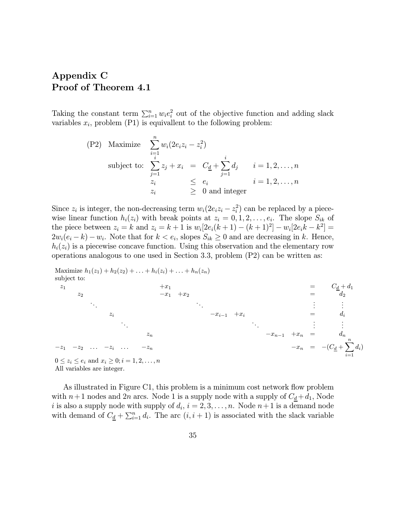# Appendix C Proof of Theorem 4.1

Taking the constant term  $\sum_{i=1}^{n} w_i e_i^2$  out of the objective function and adding slack variables  $x_i$ , problem (P1) is equivallent to the following problem:

(P2) Maximize 
$$
\sum_{i=1}^{n} w_i (2e_i z_i - z_i^2)
$$
  
subject to: 
$$
\sum_{j=1}^{i} z_j + x_i = C_{\underline{d}} + \sum_{j=1}^{i} d_j \qquad i = 1, 2, ..., n
$$

$$
\begin{array}{rcl}\nz_i & \leq e_i & i = 1, 2, ..., n \\
z_i & \geq 0 \text{ and integer}\n\end{array}
$$

Since  $z_i$  is integer, the non-decreasing term  $w_i(2e_i z_i - z_i^2)$  can be replaced by a piecewise linear function  $h_i(z_i)$  with break points at  $z_i = 0, 1, 2, \ldots, e_i$ . The slope  $S_{ik}$  of the piece between  $z_i = k$  and  $z_i = k + 1$  is  $w_i[2e_i(k + 1) - (k + 1)^2] - w_i[2e_i(k - k^2)]$  $2w_i(e_i - k) - w_i$ . Note that for  $k < e_i$ , slopes  $S_{ik} \geq 0$  and are decreasing in k. Hence,  $h_i(z_i)$  is a piecewise concave function. Using this observation and the elementary row operations analogous to one used in Section 3.3, problem (P2) can be written as:

Maximize 
$$
h_1(z_1) + h_2(z_2) + \ldots + h_i(z_i) + \ldots + h_n(z_n)
$$
  
\nsubject to:  
\n
$$
\begin{aligned}\n &x_1 \\
 &x_2 \\
 &x_3\n \end{aligned}
$$
\n
$$
\begin{aligned}\n &x_1 \\
 &x_2\n \end{aligned}
$$
\n
$$
\begin{aligned}\n &x_2 \\
 &x_3\n \end{aligned}
$$
\n
$$
\begin{aligned}\n &x_1 \\
 &x_2\n \end{aligned}
$$
\n
$$
\begin{aligned}\n &x_1 \\
 &x_2\n \end{aligned}
$$
\n
$$
\begin{aligned}\n &x_1 \\
 &x_2\n \end{aligned}
$$
\n
$$
\begin{aligned}\n &x_1 \\
 &x_2\n \end{aligned}
$$
\n
$$
\begin{aligned}\n &x_1 \\
 &x_2\n \end{aligned}
$$
\n
$$
\begin{aligned}\n &x_1 \\
 &x_2\n \end{aligned}
$$
\n
$$
\begin{aligned}\n &x_1 \\
 &x_2\n \end{aligned}
$$
\n
$$
\begin{aligned}\n &x_1 \\
 &x_2\n \end{aligned}
$$
\n
$$
\begin{aligned}\n &x_1 \\
 &x_2\n \end{aligned}
$$
\n
$$
\begin{aligned}\n &x_1 \\
 &x_2\n \end{aligned}
$$
\n
$$
\begin{aligned}\n &x_1 \\
 &x_2\n \end{aligned}
$$
\n
$$
\begin{aligned}\n &x_1 \\
 &x_2\n \end{aligned}
$$
\n
$$
\begin{aligned}\n &x_1 \\
 &x_2\n \end{aligned}
$$
\n
$$
\begin{aligned}\n &x_1 \\
 &x_2\n \end{aligned}
$$
\n
$$
\begin{aligned}\n &x_1 \\
 &x_2\n \end{aligned}
$$
\n
$$
\begin{aligned}\n &x_1 \\
 &x_2\n \end{aligned}
$$
\n
$$
\begin{aligned}\n &x_1 \\
 &x_2\n \end{aligned}
$$
\n
$$
\begin{aligned}\n &x_1 \\
 &x_2\n \end{aligned}
$$
\n
$$
\begin{aligned}\n &x_1 \\
 &x_2\n \end{aligned}
$$
\n
$$
\begin{aligned}\n &x_1 \\
 &x_2\n \end{
$$

As illustrated in Figure C1, this problem is a minimum cost network flow problem with  $n+1$  nodes and  $2n$  arcs. Node 1 is a supply node with a supply of  $C_d + d_1$ , Node i is also a supply node with supply of  $d_i$ ,  $i = 2, 3, \ldots, n$ . Node  $n+1$  is a demand node with demand of  $C_{\underline{d}} + \sum_{i=1}^n d_i$ . The arc  $(i, i + 1)$  is associated with the slack variable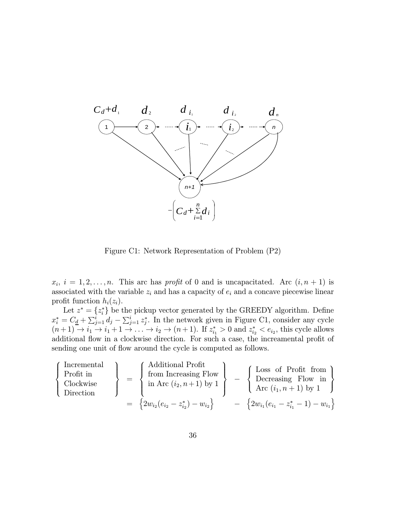

Figure C1: Network Representation of Problem (P2)

 $x_i$ ,  $i = 1, 2, \ldots, n$ . This arc has profit of 0 and is uncapacitated. Arc  $(i, n + 1)$  is associated with the variable  $z_i$  and has a capacity of  $e_i$  and a concave piecewise linear profit function  $h_i(z_i)$ .

Let  $z^* = \{z_i^*\}$  be the pickup vector generated by the GREEDY algorithm. Define  $x_i^* = C_{\underline{d}} + \sum_{j=1}^i d_j - \sum_{j=1}^i z_j^*$ . In the network given in Figure C1, consider any cycle  $(n+1) \rightarrow i_1 \rightarrow i_1 + 1 \rightarrow \ldots \rightarrow i_2 \rightarrow (n+1)$ . If  $z_{i_1}^* > 0$  and  $z_{i_2}^* < e_{i_2}$ , this cycle allows additional flow in a clockwise direction. For such a case, the increamental profit of sending one unit of flow around the cycle is computed as follows.

$$
\left\{\begin{array}{c}\text{Incremental} \\\text{Profit in} \\\text{Clockwise} \\\text{Direction}\end{array}\right\} \hspace{0.2cm} = \hspace{0.2cm} \left\{\begin{array}{c}\text{Additional Profit} \\\text{from Increasing Flow} \\\text{in Arc}\left(i_{2},n+1\right) \text{ by } 1 \\ \text{in Arc}\left(i_{2},n+1\right) \text{ by } 1\end{array}\right\} \hspace{0.2cm} - \hspace{0.2cm} \left\{\begin{array}{c}\text{Loss of Profit from} \\\text{Decreasing Flow in} \\\text{Arc}\left(i_{1},n+1\right) \text{ by } 1 \\ \text{Arc}\left(i_{1},n+1\right) \text{ by } 1\end{array}\right\} \\ = \hspace{0.2cm} \left\{2w_{i_{2}}(e_{i_{2}}-z_{i_{2}}^{*})-w_{i_{2}}\right\} \hspace{0.2cm} - \hspace{0.2cm} \left\{2w_{i_{1}}(e_{i_{1}}-z_{i_{1}}^{*}-1)-w_{i_{1}}\right\}
$$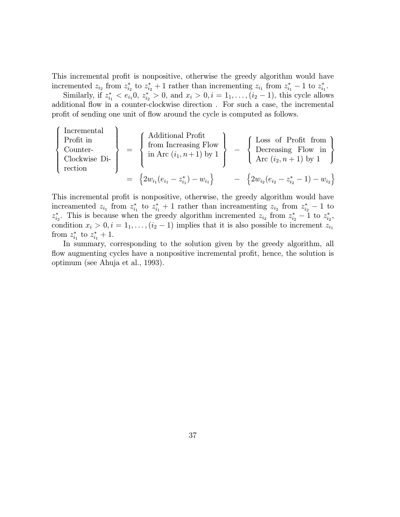This incremental profit is nonpositive, otherwise the greedy algorithm would have incremented  $z_{i_2}$  from  $z_{i_2}^*$  to  $z_{i_2}^* + 1$  rather than incrementing  $z_{i_1}$  from  $z_{i_1}^* - 1$  to  $z_{i_1}^*$ .

Similarly, if  $z_{i_1}^* < e_{i_1}0$ ,  $z_{i_2}^* > 0$ , and  $x_i > 0$ ,  $i = 1, \ldots, (i_2 - 1)$ , this cycle allows additional flow in a counter-clockwise direction . For such a case, the incremental profit of sending one unit of flow around the cycle is computed as follows.

 $\Gamma$  $\int$ 

 $\begin{bmatrix} \frac{1}{2} & \frac{1}{2} & \frac{1}{2} \\ \frac{1}{2} & \frac{1}{2} & \frac{1}{2} \\ \frac{1}{2} & \frac{1}{2} & \frac{1}{2} \\ \frac{1}{2} & \frac{1}{2} & \frac{1}{2} \\ \frac{1}{2} & \frac{1}{2} & \frac{1}{2} \\ \frac{1}{2} & \frac{1}{2} & \frac{1}{2} \\ \frac{1}{2} & \frac{1}{2} & \frac{1}{2} \\ \frac{1}{2} & \frac{1}{2} & \frac{1}{2} \\ \frac{1}{2} & \frac{1}{2} & \frac{1}{2$ 

Incremental  
\nProfit in  
\nCounter-  
\nclockwise Di-  
\nvector

\n
$$
\left\{\begin{array}{c}\n\text{Additional Profit} \\
\text{from Increasing Flow} \\
\text{in Arc}\left(i_1, n+1\right) \text{ by } 1 \\
\text{in Arc}\left(i_1, n+1\right) \text{ by } 1\n\end{array}\right\}\n-\n\left\{\n\begin{array}{c}\n\text{Loss of Profit from} \\
\text{Decreasing Flow in} \\
\text{Arc}\left(i_2, n+1\right) \text{ by } 1\n\end{array}\n\right\}
$$
\n
$$
= \left\{2w_{i_1}(e_{i_1} - z_{i_1}^*) - w_{i_1}\right\}\n-\n\left\{2w_{i_2}(e_{i_2} - z_{i_2}^* - 1) - w_{i_2}\right\}
$$

This incremental profit is nonpositive, otherwise, the greedy algorithm would have increamented  $z_{i_1}$  from  $z_{i_1}^*$  to  $z_{i_1}^* + 1$  rather than increamenting  $z_{i_2}$  from  $z_{i_2}^* - 1$  to  $z_{i_2}^*$ . This is because when the greedy algorithm incremented  $z_{i_2}$  from  $z_{i_2}^* - 1$  to  $z_{i_2}^*$ , condition  $x_i > 0, i = 1_1, \ldots, (i_2 - 1)$  implies that it is also possible to increment  $z_{i_1}$ from  $z_{i_1}^*$  to  $z_{i_1}^* + 1$ .

In summary, corresponding to the solution given by the greedy algorithm, all flow augmenting cycles have a nonpositive incremental profit, hence, the solution is optimum (see Ahuja et al., 1993).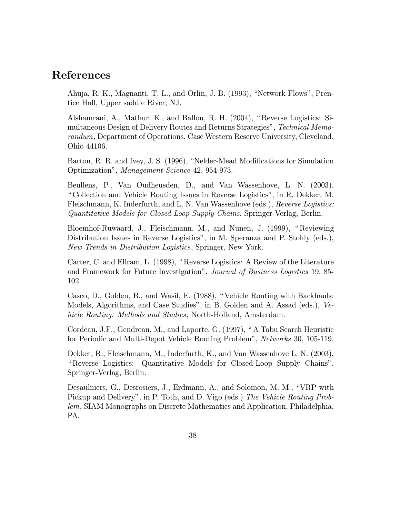### References

Ahuja, R. K., Magnanti, T. L., and Orlin, J. B. (1993), "Network Flows", Prentice Hall, Upper saddle River, NJ.

Alshamrani, A., Mathur, K., and Ballou, R. H. (2004), " Reverse Logistics: Simultaneous Design of Delivery Routes and Returns Strategies", Technical Memorandum, Department of Operations, Case Western Reserve University, Cleveland, Ohio 44106.

Barton, R. R. and Ivey, J. S. (1996), "Nelder-Mead Modifications for Simulation Optimization", Management Science 42, 954-973.

Beullens, P., Van Oudheusden, D., and Van Wassenhove, L. N. (2003), " Collection and Vehicle Routing Issues in Reverse Logistics", in R. Dekker, M. Fleischmann, K. Inderfurth, and L. N. Van Wassenhove (eds.), Reverse Logistics: Quantitative Models for Closed-Loop Supply Chains, Springer-Verlag, Berlin.

Bloemhof-Ruwaard, J., Fleischmann, M., and Nunen, J. (1999), " Reviewing Distribution Issues in Reverse Logistics", in M. Speranza and P. Stohly (eds.), New Trends in Distribution Logistics, Springer, New York.

Carter, C. and Ellram, L. (1998), " Reverse Logistics: A Review of the Literature and Framework for Future Investigation", Journal of Business Logistics 19, 85- 102.

Casco, D., Golden, B., and Wasil, E. (1988), " Vehicle Routing with Backhauls: Models, Algorithms, and Case Studies", in B. Golden and A. Assad (eds.), Vehicle Routing: Methods and Studies, North-Holland, Amsterdam.

Cordeau, J.F., Gendreau, M., and Laporte, G. (1997), " A Tabu Search Heuristic for Periodic and Multi-Depot Vehicle Routing Problem", Networks 30, 105-119.

Dekker, R., Fleischmann, M., Inderfurth, K., and Van Wassenhove L. N. (2003), " Reverse Logistics: Quantitative Models for Closed-Loop Supply Chains", Springer-Verlag, Berlin.

Desaulniers, G., Desrosiers, J., Erdmann, A., and Solomon, M. M., "VRP with Pickup and Delivery", in P. Toth, and D. Vigo (eds.) The Vehicle Routing Problem, SIAM Monographs on Discrete Mathematics and Application, Philadelphia, PA.